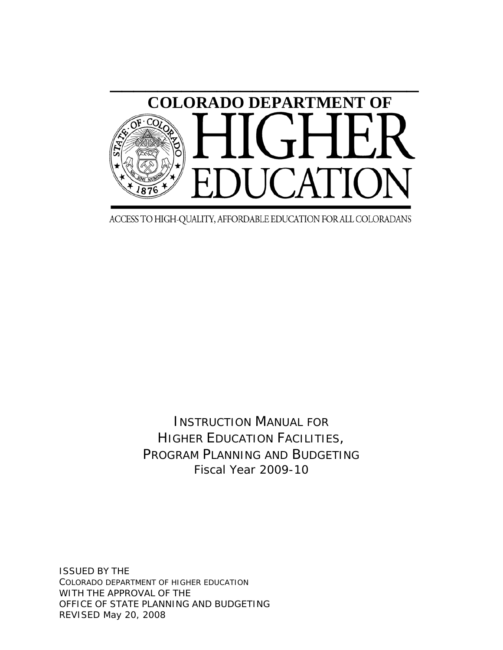

ACCESS TO HIGH-QUALITY, AFFORDABLE EDUCATION FOR ALL COLORADANS

INSTRUCTION MANUAL FOR HIGHER EDUCATION FACILITIES, PROGRAM PLANNING AND BUDGETING Fiscal Year 2009-10

ISSUED BY THE COLORADO DEPARTMENT OF HIGHER EDUCATION WITH THE APPROVAL OF THE OFFICE OF STATE PLANNING AND BUDGETING REVISED May 20, 2008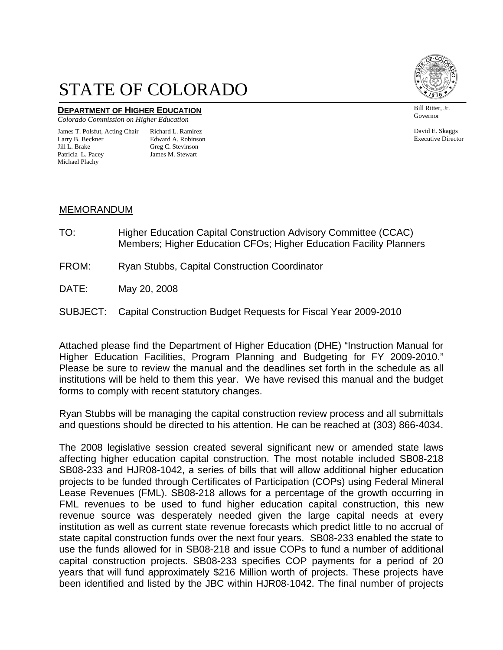# STATE OF COLORADO

## **DEPARTMENT OF HIGHER EDUCATION**

*Colorado Commission on Higher Education* 

#### James T. Polsfut, Acting Chair Richard L. Ramirez<br>Larry B. Beckner Edward A. Robinsor Jill L. Brake Greg C. Stevinson Patricia L. Pacey James M. Stewart Michael Plachy

Edward A. Robinson



Governor Bill Ritter, Jr.

David E. Skaggs Executive Director

#### MEMORANDUM

- TO: Higher Education Capital Construction Advisory Committee (CCAC) Members; Higher Education CFOs; Higher Education Facility Planners
- FROM: Ryan Stubbs, Capital Construction Coordinator
- DATE: May 20, 2008
- SUBJECT: Capital Construction Budget Requests for Fiscal Year 2009-2010

Attached please find the Department of Higher Education (DHE) "Instruction Manual for Higher Education Facilities, Program Planning and Budgeting for FY 2009-2010." Please be sure to review the manual and the deadlines set forth in the schedule as all institutions will be held to them this year. We have revised this manual and the budget forms to comply with recent statutory changes.

Ryan Stubbs will be managing the capital construction review process and all submittals and questions should be directed to his attention. He can be reached at (303) 866-4034.

The 2008 legislative session created several significant new or amended state laws affecting higher education capital construction. The most notable included SB08-218 SB08-233 and HJR08-1042, a series of bills that will allow additional higher education projects to be funded through Certificates of Participation (COPs) using Federal Mineral Lease Revenues (FML). SB08-218 allows for a percentage of the growth occurring in FML revenues to be used to fund higher education capital construction, this new revenue source was desperately needed given the large capital needs at every institution as well as current state revenue forecasts which predict little to no accrual of state capital construction funds over the next four years. SB08-233 enabled the state to use the funds allowed for in SB08-218 and issue COPs to fund a number of additional capital construction projects. SB08-233 specifies COP payments for a period of 20 years that will fund approximately \$216 Million worth of projects. These projects have been identified and listed by the JBC within HJR08-1042. The final number of projects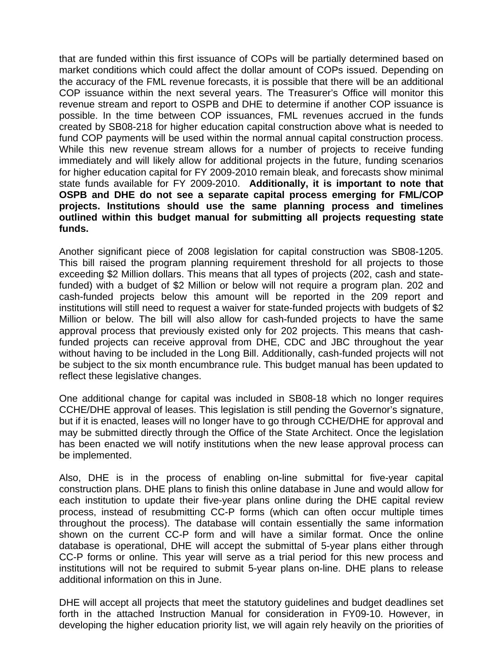that are funded within this first issuance of COPs will be partially determined based on market conditions which could affect the dollar amount of COPs issued. Depending on the accuracy of the FML revenue forecasts, it is possible that there will be an additional COP issuance within the next several years. The Treasurer's Office will monitor this revenue stream and report to OSPB and DHE to determine if another COP issuance is possible. In the time between COP issuances, FML revenues accrued in the funds created by SB08-218 for higher education capital construction above what is needed to fund COP payments will be used within the normal annual capital construction process. While this new revenue stream allows for a number of projects to receive funding immediately and will likely allow for additional projects in the future, funding scenarios for higher education capital for FY 2009-2010 remain bleak, and forecasts show minimal state funds available for FY 2009-2010. **Additionally, it is important to note that OSPB and DHE do not see a separate capital process emerging for FML/COP projects. Institutions should use the same planning process and timelines outlined within this budget manual for submitting all projects requesting state funds.**

Another significant piece of 2008 legislation for capital construction was SB08-1205. This bill raised the program planning requirement threshold for all projects to those exceeding \$2 Million dollars. This means that all types of projects (202, cash and statefunded) with a budget of \$2 Million or below will not require a program plan. 202 and cash-funded projects below this amount will be reported in the 209 report and institutions will still need to request a waiver for state-funded projects with budgets of \$2 Million or below. The bill will also allow for cash-funded projects to have the same approval process that previously existed only for 202 projects. This means that cashfunded projects can receive approval from DHE, CDC and JBC throughout the year without having to be included in the Long Bill. Additionally, cash-funded projects will not be subject to the six month encumbrance rule. This budget manual has been updated to reflect these legislative changes.

One additional change for capital was included in SB08-18 which no longer requires CCHE/DHE approval of leases. This legislation is still pending the Governor's signature, but if it is enacted, leases will no longer have to go through CCHE/DHE for approval and may be submitted directly through the Office of the State Architect. Once the legislation has been enacted we will notify institutions when the new lease approval process can be implemented.

Also, DHE is in the process of enabling on-line submittal for five-year capital construction plans. DHE plans to finish this online database in June and would allow for each institution to update their five-year plans online during the DHE capital review process, instead of resubmitting CC-P forms (which can often occur multiple times throughout the process). The database will contain essentially the same information shown on the current CC-P form and will have a similar format. Once the online database is operational, DHE will accept the submittal of 5-year plans either through CC-P forms or online. This year will serve as a trial period for this new process and institutions will not be required to submit 5-year plans on-line. DHE plans to release additional information on this in June.

DHE will accept all projects that meet the statutory guidelines and budget deadlines set forth in the attached Instruction Manual for consideration in FY09-10. However, in developing the higher education priority list, we will again rely heavily on the priorities of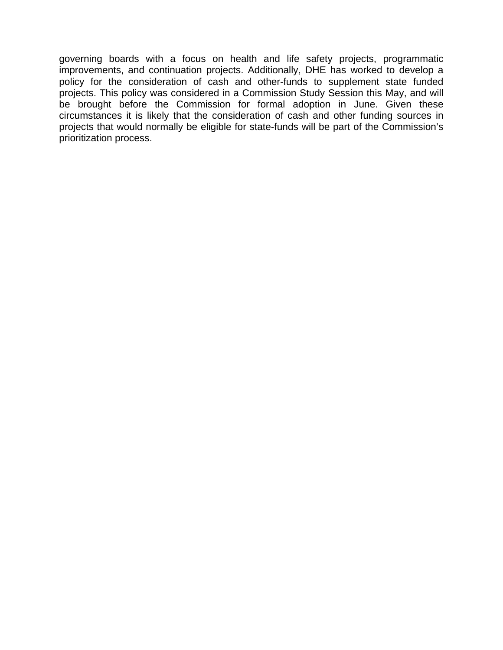governing boards with a focus on health and life safety projects, programmatic improvements, and continuation projects. Additionally, DHE has worked to develop a policy for the consideration of cash and other-funds to supplement state funded projects. This policy was considered in a Commission Study Session this May, and will be brought before the Commission for formal adoption in June. Given these circumstances it is likely that the consideration of cash and other funding sources in projects that would normally be eligible for state-funds will be part of the Commission's prioritization process.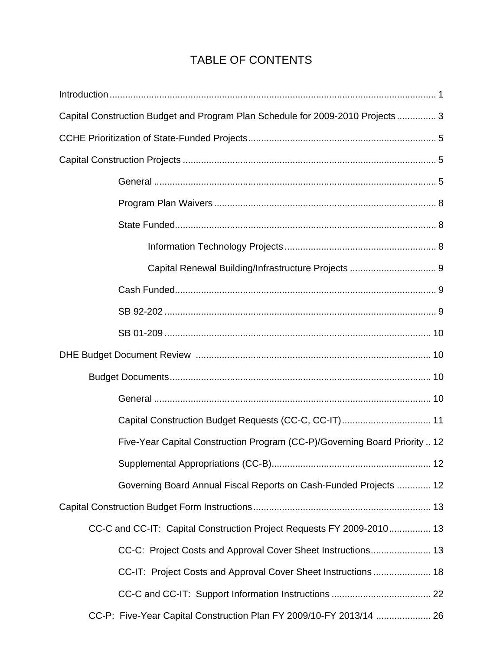## TABLE OF CONTENTS

| Capital Construction Budget and Program Plan Schedule for 2009-2010 Projects 3 |  |
|--------------------------------------------------------------------------------|--|
|                                                                                |  |
|                                                                                |  |
|                                                                                |  |
|                                                                                |  |
|                                                                                |  |
|                                                                                |  |
|                                                                                |  |
|                                                                                |  |
|                                                                                |  |
|                                                                                |  |
|                                                                                |  |
|                                                                                |  |
|                                                                                |  |
| Capital Construction Budget Requests (CC-C, CC-IT) 11                          |  |
| Five-Year Capital Construction Program (CC-P)/Governing Board Priority  12     |  |
|                                                                                |  |
| Governing Board Annual Fiscal Reports on Cash-Funded Projects  12              |  |
|                                                                                |  |
| CC-C and CC-IT: Capital Construction Project Requests FY 2009-2010 13          |  |
| CC-C: Project Costs and Approval Cover Sheet Instructions 13                   |  |
| CC-IT: Project Costs and Approval Cover Sheet Instructions  18                 |  |
|                                                                                |  |
| CC-P: Five-Year Capital Construction Plan FY 2009/10-FY 2013/14  26            |  |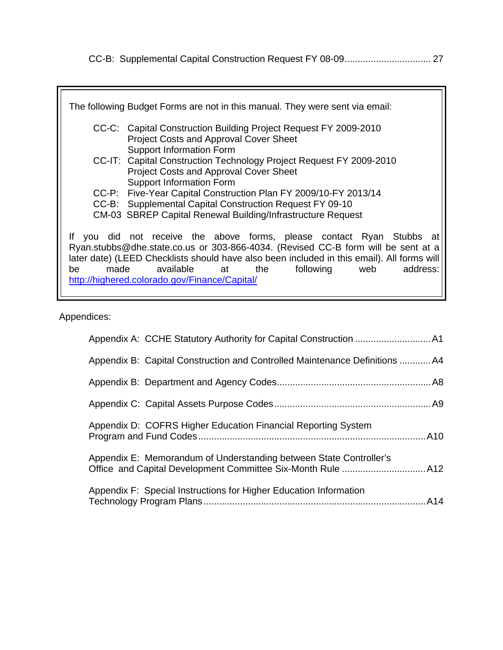|--|--|--|--|--|

|    | The following Budget Forms are not in this manual. They were sent via email:                                                                                                                                                                                                                                                                                          |
|----|-----------------------------------------------------------------------------------------------------------------------------------------------------------------------------------------------------------------------------------------------------------------------------------------------------------------------------------------------------------------------|
|    | CC-C: Capital Construction Building Project Request FY 2009-2010<br><b>Project Costs and Approval Cover Sheet</b><br><b>Support Information Form</b>                                                                                                                                                                                                                  |
|    | CC-IT: Capital Construction Technology Project Request FY 2009-2010<br><b>Project Costs and Approval Cover Sheet</b><br><b>Support Information Form</b>                                                                                                                                                                                                               |
|    | CC-P: Five-Year Capital Construction Plan FY 2009/10-FY 2013/14                                                                                                                                                                                                                                                                                                       |
|    | CC-B: Supplemental Capital Construction Request FY 09-10                                                                                                                                                                                                                                                                                                              |
|    | CM-03 SBREP Capital Renewal Building/Infrastructure Request                                                                                                                                                                                                                                                                                                           |
| be | If you did not receive the above forms, please contact Ryan Stubbs at<br>Ryan.stubbs@dhe.state.co.us or 303-866-4034. (Revised CC-B form will be sent at a<br>later date) (LEED Checklists should have also been included in this email). All forms will<br>made available at<br>following<br>the<br>web<br>address:<br>http://highered.colorado.gov/Finance/Capital/ |

Appendices:

| Appendix B: Capital Construction and Controlled Maintenance Definitions A4 |  |
|----------------------------------------------------------------------------|--|
|                                                                            |  |
|                                                                            |  |
| Appendix D: COFRS Higher Education Financial Reporting System              |  |
| Appendix E: Memorandum of Understanding between State Controller's         |  |
| Appendix F: Special Instructions for Higher Education Information          |  |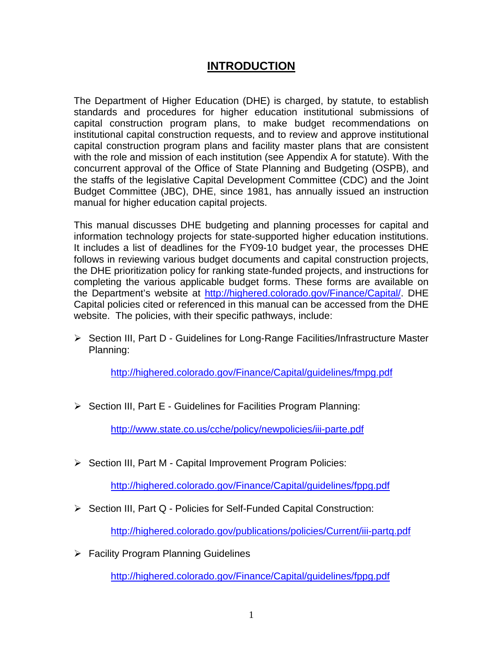### **INTRODUCTION**

The Department of Higher Education (DHE) is charged, by statute, to establish standards and procedures for higher education institutional submissions of capital construction program plans, to make budget recommendations on institutional capital construction requests, and to review and approve institutional capital construction program plans and facility master plans that are consistent with the role and mission of each institution (see Appendix A for statute). With the concurrent approval of the Office of State Planning and Budgeting (OSPB), and the staffs of the legislative Capital Development Committee (CDC) and the Joint Budget Committee (JBC), DHE, since 1981, has annually issued an instruction manual for higher education capital projects.

This manual discusses DHE budgeting and planning processes for capital and information technology projects for state-supported higher education institutions. It includes a list of deadlines for the FY09-10 budget year, the processes DHE follows in reviewing various budget documents and capital construction projects, the DHE prioritization policy for ranking state-funded projects, and instructions for completing the various applicable budget forms. These forms are available on the Department's website at http://highered.colorado.gov/Finance/Capital/. DHE Capital policies cited or referenced in this manual can be accessed from the DHE website. The policies, with their specific pathways, include:

¾ Section III, Part D - Guidelines for Long-Range Facilities/Infrastructure Master Planning:

<http://highered.colorado.gov/Finance/Capital/guidelines/fmpg.pdf>

¾ Section III, Part E - Guidelines for Facilities Program Planning:

<http://www.state.co.us/cche/policy/newpolicies/iii-parte.pdf>

¾ Section III, Part M - Capital Improvement Program Policies:

<http://highered.colorado.gov/Finance/Capital/guidelines/fppg.pdf>

¾ Section III, Part Q - Policies for Self-Funded Capital Construction:

<http://highered.colorado.gov/publications/policies/Current/iii-partq.pdf>

 $\triangleright$  Facility Program Planning Guidelines

<http://highered.colorado.gov/Finance/Capital/guidelines/fppg.pdf>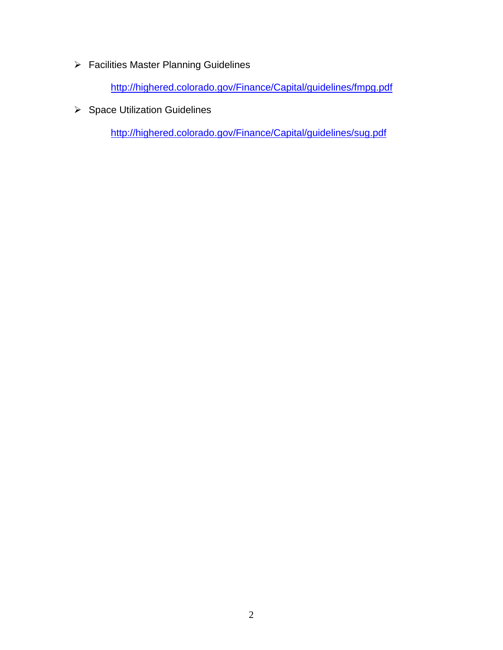¾ Facilities Master Planning Guidelines

<http://highered.colorado.gov/Finance/Capital/guidelines/fmpg.pdf>

 $\triangleright$  Space Utilization Guidelines

<http://highered.colorado.gov/Finance/Capital/guidelines/sug.pdf>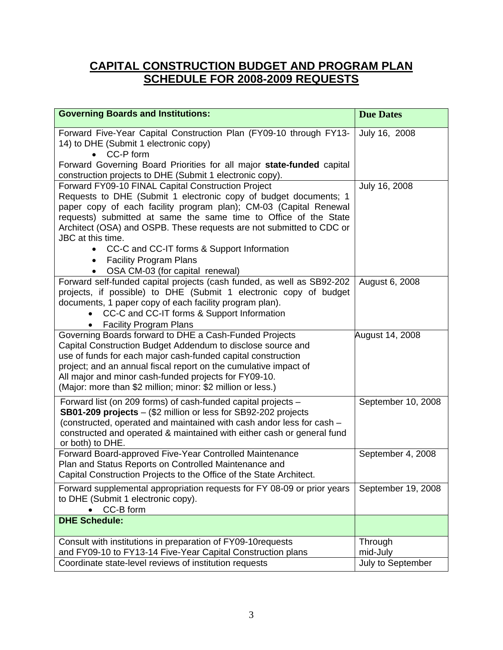## **CAPITAL CONSTRUCTION BUDGET AND PROGRAM PLAN SCHEDULE FOR 2008-2009 REQUESTS**

| <b>Governing Boards and Institutions:</b>                                                                                                                                                                                                                                                                                                                                                                                                                                           | <b>Due Dates</b>                         |
|-------------------------------------------------------------------------------------------------------------------------------------------------------------------------------------------------------------------------------------------------------------------------------------------------------------------------------------------------------------------------------------------------------------------------------------------------------------------------------------|------------------------------------------|
| Forward Five-Year Capital Construction Plan (FY09-10 through FY13-<br>14) to DHE (Submit 1 electronic copy)<br>CC-P form<br>Forward Governing Board Priorities for all major state-funded capital                                                                                                                                                                                                                                                                                   | July 16, 2008                            |
| construction projects to DHE (Submit 1 electronic copy).<br>Forward FY09-10 FINAL Capital Construction Project<br>Requests to DHE (Submit 1 electronic copy of budget documents; 1<br>paper copy of each facility program plan); CM-03 (Capital Renewal<br>requests) submitted at same the same time to Office of the State<br>Architect (OSA) and OSPB. These requests are not submitted to CDC or<br>JBC at this time.<br>CC-C and CC-IT forms & Support Information<br>$\bullet$ | July 16, 2008                            |
| <b>Facility Program Plans</b><br>$\bullet$<br>OSA CM-03 (for capital renewal)                                                                                                                                                                                                                                                                                                                                                                                                       |                                          |
| Forward self-funded capital projects (cash funded, as well as SB92-202<br>projects, if possible) to DHE (Submit 1 electronic copy of budget<br>documents, 1 paper copy of each facility program plan).<br>CC-C and CC-IT forms & Support Information<br><b>Facility Program Plans</b>                                                                                                                                                                                               | August 6, 2008                           |
| Governing Boards forward to DHE a Cash-Funded Projects<br>Capital Construction Budget Addendum to disclose source and<br>use of funds for each major cash-funded capital construction<br>project; and an annual fiscal report on the cumulative impact of<br>All major and minor cash-funded projects for FY09-10.<br>(Major: more than \$2 million; minor: \$2 million or less.)                                                                                                   | August 14, 2008                          |
| Forward list (on 209 forms) of cash-funded capital projects -<br>SB01-209 projects - (\$2 million or less for SB92-202 projects<br>(constructed, operated and maintained with cash andor less for cash -<br>constructed and operated & maintained with either cash or general fund<br>or both) to DHE.                                                                                                                                                                              | September 10, 2008                       |
| Forward Board-approved Five-Year Controlled Maintenance<br>Plan and Status Reports on Controlled Maintenance and<br>Capital Construction Projects to the Office of the State Architect.                                                                                                                                                                                                                                                                                             | September 4, 2008                        |
| Forward supplemental appropriation requests for FY 08-09 or prior years<br>to DHE (Submit 1 electronic copy).<br>CC-B form                                                                                                                                                                                                                                                                                                                                                          | September 19, 2008                       |
| <b>DHE Schedule:</b>                                                                                                                                                                                                                                                                                                                                                                                                                                                                |                                          |
| Consult with institutions in preparation of FY09-10 requests<br>and FY09-10 to FY13-14 Five-Year Capital Construction plans<br>Coordinate state-level reviews of institution requests                                                                                                                                                                                                                                                                                               | Through<br>mid-July<br>July to September |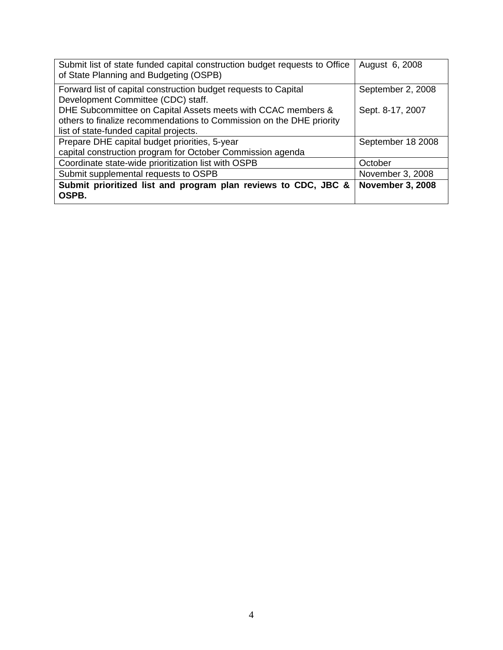| Submit list of state funded capital construction budget requests to Office<br>of State Planning and Budgeting (OSPB) | August 6, 2008          |
|----------------------------------------------------------------------------------------------------------------------|-------------------------|
| Forward list of capital construction budget requests to Capital                                                      | September 2, 2008       |
| Development Committee (CDC) staff.                                                                                   |                         |
| DHE Subcommittee on Capital Assets meets with CCAC members &                                                         | Sept. 8-17, 2007        |
| others to finalize recommendations to Commission on the DHE priority                                                 |                         |
| list of state-funded capital projects.                                                                               |                         |
| Prepare DHE capital budget priorities, 5-year                                                                        | September 18 2008       |
| capital construction program for October Commission agenda                                                           |                         |
| Coordinate state-wide prioritization list with OSPB                                                                  | October                 |
| Submit supplemental requests to OSPB                                                                                 | November 3, 2008        |
| Submit prioritized list and program plan reviews to CDC, JBC &<br>OSPB.                                              | <b>November 3, 2008</b> |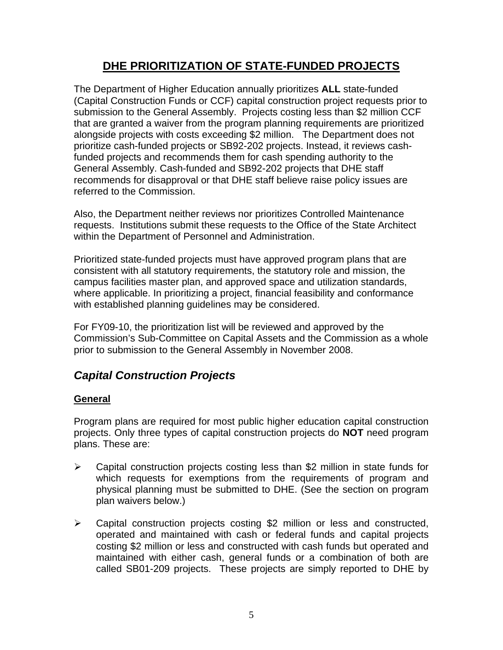### **DHE PRIORITIZATION OF STATE-FUNDED PROJECTS**

The Department of Higher Education annually prioritizes **ALL** state-funded (Capital Construction Funds or CCF) capital construction project requests prior to submission to the General Assembly. Projects costing less than \$2 million CCF that are granted a waiver from the program planning requirements are prioritized alongside projects with costs exceeding \$2 million. The Department does not prioritize cash-funded projects or SB92-202 projects. Instead, it reviews cashfunded projects and recommends them for cash spending authority to the General Assembly. Cash-funded and SB92-202 projects that DHE staff recommends for disapproval or that DHE staff believe raise policy issues are referred to the Commission.

Also, the Department neither reviews nor prioritizes Controlled Maintenance requests. Institutions submit these requests to the Office of the State Architect within the Department of Personnel and Administration.

Prioritized state-funded projects must have approved program plans that are consistent with all statutory requirements, the statutory role and mission, the campus facilities master plan, and approved space and utilization standards, where applicable. In prioritizing a project, financial feasibility and conformance with established planning guidelines may be considered.

For FY09-10, the prioritization list will be reviewed and approved by the Commission's Sub-Committee on Capital Assets and the Commission as a whole prior to submission to the General Assembly in November 2008.

### *Capital Construction Projects*

#### **General**

Program plans are required for most public higher education capital construction projects. Only three types of capital construction projects do **NOT** need program plans. These are:

- $\triangleright$  Capital construction projects costing less than \$2 million in state funds for which requests for exemptions from the requirements of program and physical planning must be submitted to DHE. (See the section on program plan waivers below.)
- ¾ Capital construction projects costing \$2 million or less and constructed, operated and maintained with cash or federal funds and capital projects costing \$2 million or less and constructed with cash funds but operated and maintained with either cash, general funds or a combination of both are called SB01-209 projects. These projects are simply reported to DHE by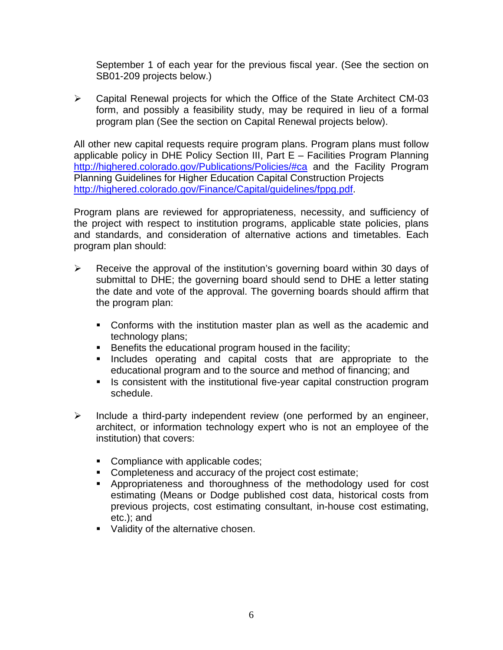September 1 of each year for the previous fiscal year. (See the section on SB01-209 projects below.)

 $\triangleright$  Capital Renewal projects for which the Office of the State Architect CM-03 form, and possibly a feasibility study, may be required in lieu of a formal program plan (See the section on Capital Renewal projects below).

All other new capital requests require program plans. Program plans must follow applicable policy in DHE Policy Section III, Part E – Facilities Program Planning <http://highered.colorado.gov/Publications/Policies/#ca> and the Facility Program Planning Guidelines for Higher Education Capital Construction Projects [http://highered.colorado.gov/Finance/Capital/guidelines/fppg.pdf.](http://highered.colorado.gov/Finance/Capital/guidelines/fppg.pdf)

Program plans are reviewed for appropriateness, necessity, and sufficiency of the project with respect to institution programs, applicable state policies, plans and standards, and consideration of alternative actions and timetables. Each program plan should:

- $\triangleright$  Receive the approval of the institution's governing board within 30 days of submittal to DHE; the governing board should send to DHE a letter stating the date and vote of the approval. The governing boards should affirm that the program plan:
	- Conforms with the institution master plan as well as the academic and technology plans;
	- Benefits the educational program housed in the facility;
	- **Includes operating and capital costs that are appropriate to the** educational program and to the source and method of financing; and
	- **If** Is consistent with the institutional five-year capital construction program schedule.
- $\triangleright$  Include a third-party independent review (one performed by an engineer, architect, or information technology expert who is not an employee of the institution) that covers:
	- Compliance with applicable codes;
	- **Completeness and accuracy of the project cost estimate;**
	- Appropriateness and thoroughness of the methodology used for cost estimating (Means or Dodge published cost data, historical costs from previous projects, cost estimating consultant, in-house cost estimating, etc.); and
	- **Validity of the alternative chosen.**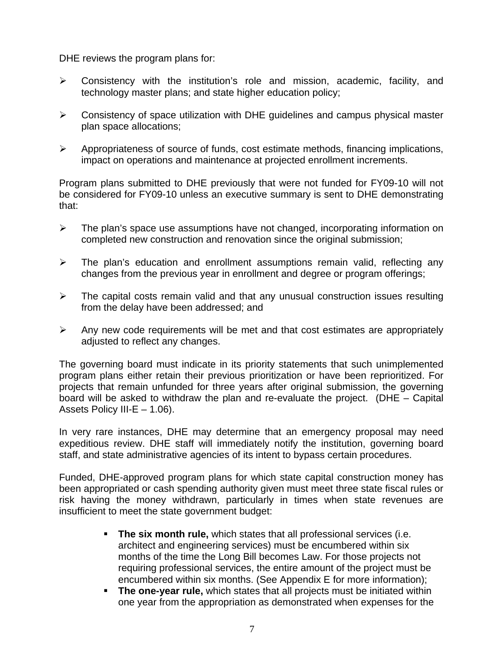DHE reviews the program plans for:

- $\triangleright$  Consistency with the institution's role and mission, academic, facility, and technology master plans; and state higher education policy;
- $\triangleright$  Consistency of space utilization with DHE quidelines and campus physical master plan space allocations;
- $\triangleright$  Appropriateness of source of funds, cost estimate methods, financing implications, impact on operations and maintenance at projected enrollment increments.

Program plans submitted to DHE previously that were not funded for FY09-10 will not be considered for FY09-10 unless an executive summary is sent to DHE demonstrating that:

- $\triangleright$  The plan's space use assumptions have not changed, incorporating information on completed new construction and renovation since the original submission;
- $\triangleright$  The plan's education and enrollment assumptions remain valid, reflecting any changes from the previous year in enrollment and degree or program offerings;
- $\triangleright$  The capital costs remain valid and that any unusual construction issues resulting from the delay have been addressed; and
- $\triangleright$  Any new code requirements will be met and that cost estimates are appropriately adjusted to reflect any changes.

The governing board must indicate in its priority statements that such unimplemented program plans either retain their previous prioritization or have been reprioritized. For projects that remain unfunded for three years after original submission, the governing board will be asked to withdraw the plan and re-evaluate the project. (DHE – Capital Assets Policy III-E – 1.06).

In very rare instances, DHE may determine that an emergency proposal may need expeditious review. DHE staff will immediately notify the institution, governing board staff, and state administrative agencies of its intent to bypass certain procedures.

Funded, DHE-approved program plans for which state capital construction money has been appropriated or cash spending authority given must meet three state fiscal rules or risk having the money withdrawn, particularly in times when state revenues are insufficient to meet the state government budget:

- **The six month rule,** which states that all professional services (i.e. architect and engineering services) must be encumbered within six months of the time the Long Bill becomes Law. For those projects not requiring professional services, the entire amount of the project must be encumbered within six months. (See Appendix E for more information);
- **The one-year rule,** which states that all projects must be initiated within one year from the appropriation as demonstrated when expenses for the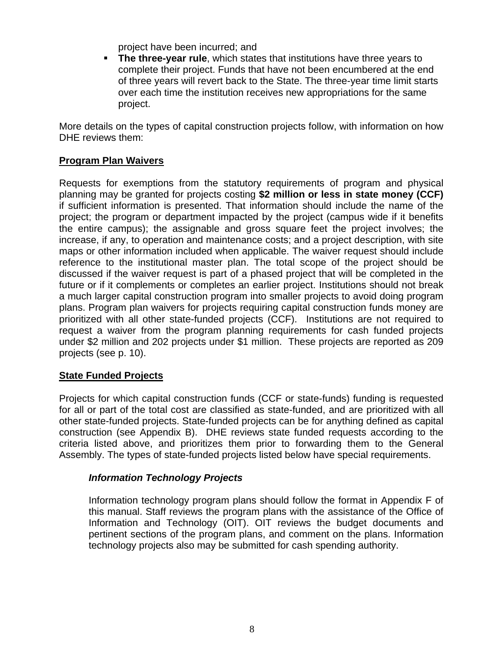project have been incurred; and

 **The three-year rule**, which states that institutions have three years to complete their project. Funds that have not been encumbered at the end of three years will revert back to the State. The three-year time limit starts over each time the institution receives new appropriations for the same project.

More details on the types of capital construction projects follow, with information on how DHE reviews them:

#### **Program Plan Waivers**

Requests for exemptions from the statutory requirements of program and physical planning may be granted for projects costing **\$2 million or less in state money (CCF)** if sufficient information is presented. That information should include the name of the project; the program or department impacted by the project (campus wide if it benefits the entire campus); the assignable and gross square feet the project involves; the increase, if any, to operation and maintenance costs; and a project description, with site maps or other information included when applicable. The waiver request should include reference to the institutional master plan. The total scope of the project should be discussed if the waiver request is part of a phased project that will be completed in the future or if it complements or completes an earlier project. Institutions should not break a much larger capital construction program into smaller projects to avoid doing program plans. Program plan waivers for projects requiring capital construction funds money are prioritized with all other state-funded projects (CCF). Institutions are not required to request a waiver from the program planning requirements for cash funded projects under \$2 million and 202 projects under \$1 million. These projects are reported as 209 projects (see p. 10).

#### **State Funded Projects**

Projects for which capital construction funds (CCF or state-funds) funding is requested for all or part of the total cost are classified as state-funded, and are prioritized with all other state-funded projects. State-funded projects can be for anything defined as capital construction (see Appendix B). DHE reviews state funded requests according to the criteria listed above, and prioritizes them prior to forwarding them to the General Assembly. The types of state-funded projects listed below have special requirements.

#### *Information Technology Projects*

Information technology program plans should follow the format in Appendix F of this manual. Staff reviews the program plans with the assistance of the Office of Information and Technology (OIT). OIT reviews the budget documents and pertinent sections of the program plans, and comment on the plans. Information technology projects also may be submitted for cash spending authority.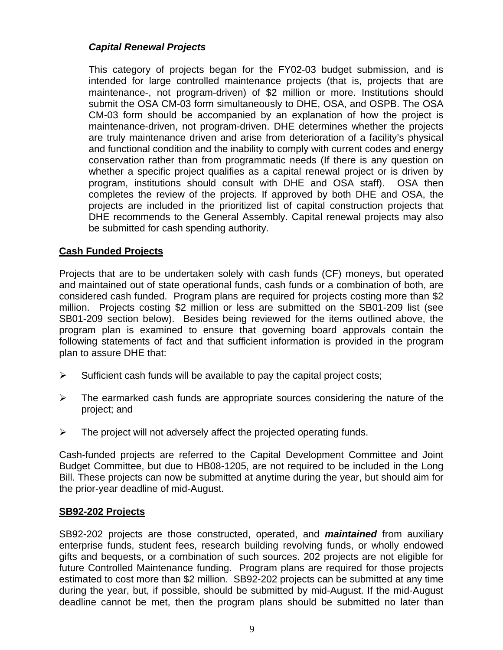#### *Capital Renewal Projects*

This category of projects began for the FY02-03 budget submission, and is intended for large controlled maintenance projects (that is, projects that are maintenance-, not program-driven) of \$2 million or more. Institutions should submit the OSA CM-03 form simultaneously to DHE, OSA, and OSPB. The OSA CM-03 form should be accompanied by an explanation of how the project is maintenance-driven, not program-driven. DHE determines whether the projects are truly maintenance driven and arise from deterioration of a facility's physical and functional condition and the inability to comply with current codes and energy conservation rather than from programmatic needs (If there is any question on whether a specific project qualifies as a capital renewal project or is driven by program, institutions should consult with DHE and OSA staff). OSA then completes the review of the projects. If approved by both DHE and OSA, the projects are included in the prioritized list of capital construction projects that DHE recommends to the General Assembly. Capital renewal projects may also be submitted for cash spending authority.

#### **Cash Funded Projects**

Projects that are to be undertaken solely with cash funds (CF) moneys, but operated and maintained out of state operational funds, cash funds or a combination of both, are considered cash funded. Program plans are required for projects costing more than \$2 million. Projects costing \$2 million or less are submitted on the SB01-209 list (see SB01-209 section below). Besides being reviewed for the items outlined above, the program plan is examined to ensure that governing board approvals contain the following statements of fact and that sufficient information is provided in the program plan to assure DHE that:

- $\triangleright$  Sufficient cash funds will be available to pay the capital project costs;
- $\triangleright$  The earmarked cash funds are appropriate sources considering the nature of the project; and
- $\triangleright$  The project will not adversely affect the projected operating funds.

Cash-funded projects are referred to the Capital Development Committee and Joint Budget Committee, but due to HB08-1205, are not required to be included in the Long Bill. These projects can now be submitted at anytime during the year, but should aim for the prior-year deadline of mid-August.

#### **SB92-202 Projects**

SB92-202 projects are those constructed, operated, and *maintained* from auxiliary enterprise funds, student fees, research building revolving funds, or wholly endowed gifts and bequests, or a combination of such sources. 202 projects are not eligible for future Controlled Maintenance funding. Program plans are required for those projects estimated to cost more than \$2 million. SB92-202 projects can be submitted at any time during the year, but, if possible, should be submitted by mid-August. If the mid-August deadline cannot be met, then the program plans should be submitted no later than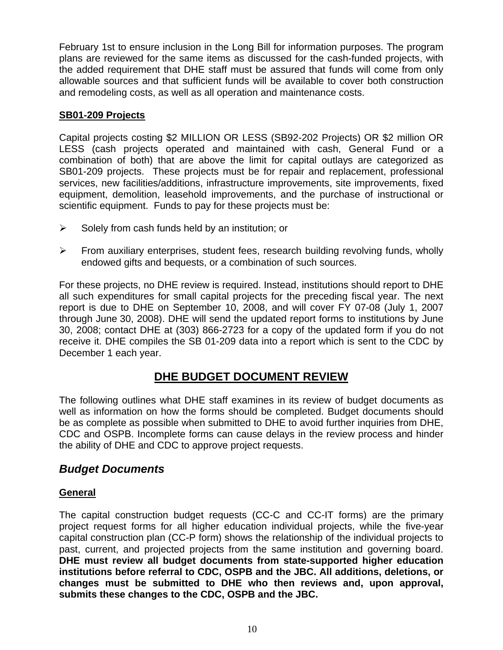February 1st to ensure inclusion in the Long Bill for information purposes. The program plans are reviewed for the same items as discussed for the cash-funded projects, with the added requirement that DHE staff must be assured that funds will come from only allowable sources and that sufficient funds will be available to cover both construction and remodeling costs, as well as all operation and maintenance costs.

#### **SB01-209 Projects**

Capital projects costing \$2 MILLION OR LESS (SB92-202 Projects) OR \$2 million OR LESS (cash projects operated and maintained with cash, General Fund or a combination of both) that are above the limit for capital outlays are categorized as SB01-209 projects. These projects must be for repair and replacement, professional services, new facilities/additions, infrastructure improvements, site improvements, fixed equipment, demolition, leasehold improvements, and the purchase of instructional or scientific equipment. Funds to pay for these projects must be:

- $\triangleright$  Solely from cash funds held by an institution; or
- $\triangleright$  From auxiliary enterprises, student fees, research building revolving funds, wholly endowed gifts and bequests, or a combination of such sources.

For these projects, no DHE review is required. Instead, institutions should report to DHE all such expenditures for small capital projects for the preceding fiscal year. The next report is due to DHE on September 10, 2008, and will cover FY 07-08 (July 1, 2007 through June 30, 2008). DHE will send the updated report forms to institutions by June 30, 2008; contact DHE at (303) 866-2723 for a copy of the updated form if you do not receive it. DHE compiles the SB 01-209 data into a report which is sent to the CDC by December 1 each year.

### **DHE BUDGET DOCUMENT REVIEW**

The following outlines what DHE staff examines in its review of budget documents as well as information on how the forms should be completed. Budget documents should be as complete as possible when submitted to DHE to avoid further inquiries from DHE, CDC and OSPB. Incomplete forms can cause delays in the review process and hinder the ability of DHE and CDC to approve project requests.

#### *Budget Documents*

#### **General**

The capital construction budget requests (CC-C and CC-IT forms) are the primary project request forms for all higher education individual projects, while the five-year capital construction plan (CC-P form) shows the relationship of the individual projects to past, current, and projected projects from the same institution and governing board. **DHE must review all budget documents from state-supported higher education institutions before referral to CDC, OSPB and the JBC. All additions, deletions, or changes must be submitted to DHE who then reviews and, upon approval, submits these changes to the CDC, OSPB and the JBC.**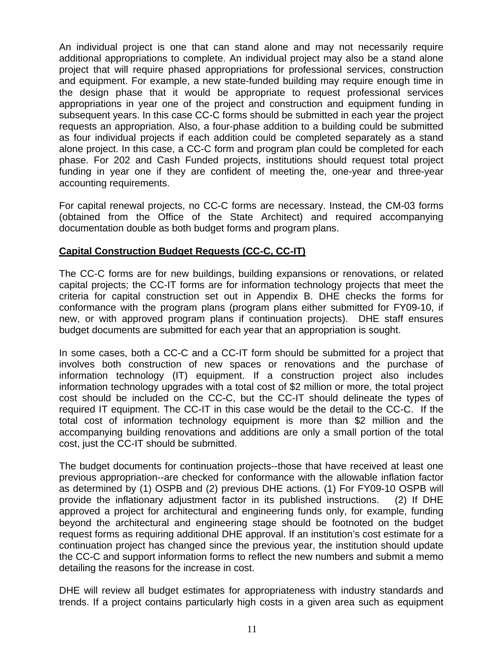An individual project is one that can stand alone and may not necessarily require additional appropriations to complete. An individual project may also be a stand alone project that will require phased appropriations for professional services, construction and equipment. For example, a new state-funded building may require enough time in the design phase that it would be appropriate to request professional services appropriations in year one of the project and construction and equipment funding in subsequent years. In this case CC-C forms should be submitted in each year the project requests an appropriation. Also, a four-phase addition to a building could be submitted as four individual projects if each addition could be completed separately as a stand alone project. In this case, a CC-C form and program plan could be completed for each phase. For 202 and Cash Funded projects, institutions should request total project funding in year one if they are confident of meeting the, one-year and three-year accounting requirements.

For capital renewal projects, no CC-C forms are necessary. Instead, the CM-03 forms (obtained from the Office of the State Architect) and required accompanying documentation double as both budget forms and program plans.

#### **Capital Construction Budget Requests (CC-C, CC-IT)**

The CC-C forms are for new buildings, building expansions or renovations, or related capital projects; the CC-IT forms are for information technology projects that meet the criteria for capital construction set out in Appendix B. DHE checks the forms for conformance with the program plans (program plans either submitted for FY09-10, if new, or with approved program plans if continuation projects). DHE staff ensures budget documents are submitted for each year that an appropriation is sought.

In some cases, both a CC-C and a CC-IT form should be submitted for a project that involves both construction of new spaces or renovations and the purchase of information technology (IT) equipment. If a construction project also includes information technology upgrades with a total cost of \$2 million or more, the total project cost should be included on the CC-C, but the CC-IT should delineate the types of required IT equipment. The CC-IT in this case would be the detail to the CC-C. If the total cost of information technology equipment is more than \$2 million and the accompanying building renovations and additions are only a small portion of the total cost, just the CC-IT should be submitted.

The budget documents for continuation projects--those that have received at least one previous appropriation--are checked for conformance with the allowable inflation factor as determined by (1) OSPB and (2) previous DHE actions. (1) For FY09-10 OSPB will provide the inflationary adjustment factor in its published instructions. (2) If DHE approved a project for architectural and engineering funds only, for example, funding beyond the architectural and engineering stage should be footnoted on the budget request forms as requiring additional DHE approval. If an institution's cost estimate for a continuation project has changed since the previous year, the institution should update the CC-C and support information forms to reflect the new numbers and submit a memo detailing the reasons for the increase in cost.

DHE will review all budget estimates for appropriateness with industry standards and trends. If a project contains particularly high costs in a given area such as equipment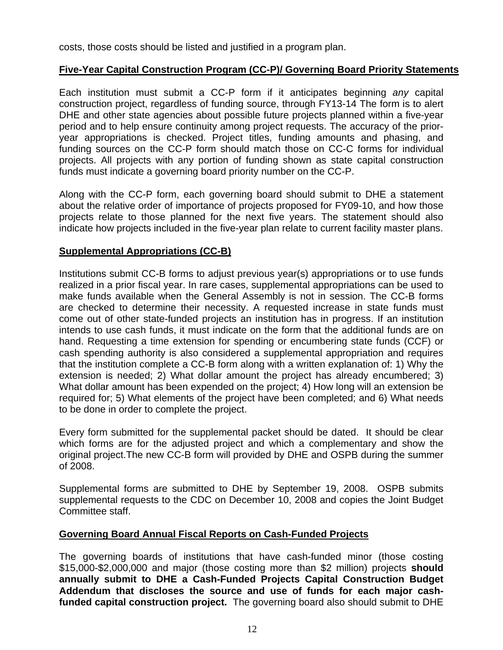costs, those costs should be listed and justified in a program plan.

#### **Five-Year Capital Construction Program (CC-P)/ Governing Board Priority Statements**

Each institution must submit a CC-P form if it anticipates beginning *any* capital construction project, regardless of funding source, through FY13-14 The form is to alert DHE and other state agencies about possible future projects planned within a five-year period and to help ensure continuity among project requests. The accuracy of the prioryear appropriations is checked. Project titles, funding amounts and phasing, and funding sources on the CC-P form should match those on CC-C forms for individual projects. All projects with any portion of funding shown as state capital construction funds must indicate a governing board priority number on the CC-P.

Along with the CC-P form, each governing board should submit to DHE a statement about the relative order of importance of projects proposed for FY09-10, and how those projects relate to those planned for the next five years. The statement should also indicate how projects included in the five-year plan relate to current facility master plans.

#### **Supplemental Appropriations (CC-B)**

Institutions submit CC-B forms to adjust previous year(s) appropriations or to use funds realized in a prior fiscal year. In rare cases, supplemental appropriations can be used to make funds available when the General Assembly is not in session. The CC-B forms are checked to determine their necessity. A requested increase in state funds must come out of other state-funded projects an institution has in progress. If an institution intends to use cash funds, it must indicate on the form that the additional funds are on hand. Requesting a time extension for spending or encumbering state funds (CCF) or cash spending authority is also considered a supplemental appropriation and requires that the institution complete a CC-B form along with a written explanation of: 1) Why the extension is needed; 2) What dollar amount the project has already encumbered; 3) What dollar amount has been expended on the project; 4) How long will an extension be required for; 5) What elements of the project have been completed; and 6) What needs to be done in order to complete the project.

Every form submitted for the supplemental packet should be dated. It should be clear which forms are for the adjusted project and which a complementary and show the original project.The new CC-B form will provided by DHE and OSPB during the summer of 2008.

Supplemental forms are submitted to DHE by September 19, 2008. OSPB submits supplemental requests to the CDC on December 10, 2008 and copies the Joint Budget Committee staff.

#### **Governing Board Annual Fiscal Reports on Cash-Funded Projects**

The governing boards of institutions that have cash-funded minor (those costing \$15,000-\$2,000,000 and major (those costing more than \$2 million) projects **should annually submit to DHE a Cash-Funded Projects Capital Construction Budget Addendum that discloses the source and use of funds for each major cashfunded capital construction project.** The governing board also should submit to DHE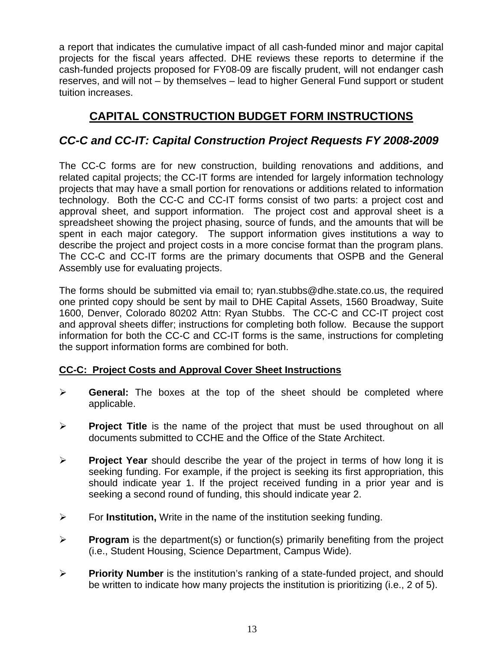a report that indicates the cumulative impact of all cash-funded minor and major capital projects for the fiscal years affected. DHE reviews these reports to determine if the cash-funded projects proposed for FY08-09 are fiscally prudent, will not endanger cash reserves, and will not – by themselves – lead to higher General Fund support or student tuition increases.

## **CAPITAL CONSTRUCTION BUDGET FORM INSTRUCTIONS**

### *CC-C and CC-IT: Capital Construction Project Requests FY 2008-2009*

The CC-C forms are for new construction, building renovations and additions, and related capital projects; the CC-IT forms are intended for largely information technology projects that may have a small portion for renovations or additions related to information technology. Both the CC-C and CC-IT forms consist of two parts: a project cost and approval sheet, and support information. The project cost and approval sheet is a spreadsheet showing the project phasing, source of funds, and the amounts that will be spent in each major category. The support information gives institutions a way to describe the project and project costs in a more concise format than the program plans. The CC-C and CC-IT forms are the primary documents that OSPB and the General Assembly use for evaluating projects.

The forms should be submitted via email to; ryan.stubbs@dhe.state.co.us, the required one printed copy should be sent by mail to DHE Capital Assets, 1560 Broadway, Suite 1600, Denver, Colorado 80202 Attn: Ryan Stubbs. The CC-C and CC-IT project cost and approval sheets differ; instructions for completing both follow. Because the support information for both the CC-C and CC-IT forms is the same, instructions for completing the support information forms are combined for both.

#### **CC-C: Project Costs and Approval Cover Sheet Instructions**

- ¾ **General:** The boxes at the top of the sheet should be completed where applicable.
- ¾ **Project Title** is the name of the project that must be used throughout on all documents submitted to CCHE and the Office of the State Architect.
- ¾ **Project Year** should describe the year of the project in terms of how long it is seeking funding. For example, if the project is seeking its first appropriation, this should indicate year 1. If the project received funding in a prior year and is seeking a second round of funding, this should indicate year 2.
- ¾ For **Institution,** Write in the name of the institution seeking funding.
- ¾ **Program** is the department(s) or function(s) primarily benefiting from the project (i.e., Student Housing, Science Department, Campus Wide).
- ¾ **Priority Number** is the institution's ranking of a state-funded project, and should be written to indicate how many projects the institution is prioritizing (i.e., 2 of 5).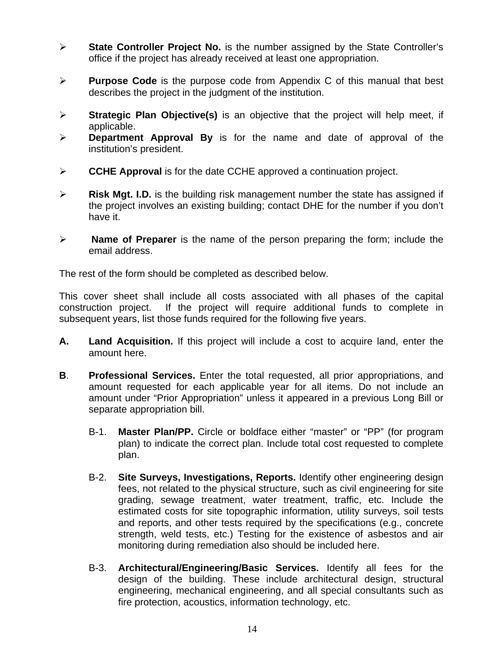- ¾ **State Controller Project No.** is the number assigned by the State Controller's office if the project has already received at least one appropriation.
- ¾ **Purpose Code** is the purpose code from Appendix C of this manual that best describes the project in the judgment of the institution.
- ¾ **Strategic Plan Objective(s)** is an objective that the project will help meet, if applicable.
- ¾ **Department Approval By** is for the name and date of approval of the institution's president.
- ¾ **CCHE Approval** is for the date CCHE approved a continuation project.
- ¾ **Risk Mgt. I.D.** is the building risk management number the state has assigned if the project involves an existing building; contact DHE for the number if you don't have it.
- ¾ **Name of Preparer** is the name of the person preparing the form; include the email address.

The rest of the form should be completed as described below.

This cover sheet shall include all costs associated with all phases of the capital construction project. If the project will require additional funds to complete in subsequent years, list those funds required for the following five years.

- **A. Land Acquisition.** If this project will include a cost to acquire land, enter the amount here.
- **B**. **Professional Services.** Enter the total requested, all prior appropriations, and amount requested for each applicable year for all items. Do not include an amount under "Prior Appropriation" unless it appeared in a previous Long Bill or separate appropriation bill.
	- B-1. **Master Plan/PP.** Circle or boldface either "master" or "PP" (for program plan) to indicate the correct plan. Include total cost requested to complete plan.
	- B-2. **Site Surveys, Investigations, Reports.** Identify other engineering design fees, not related to the physical structure, such as civil engineering for site grading, sewage treatment, water treatment, traffic, etc. Include the estimated costs for site topographic information, utility surveys, soil tests and reports, and other tests required by the specifications (e.g., concrete strength, weld tests, etc.) Testing for the existence of asbestos and air monitoring during remediation also should be included here.
	- B-3. **Architectural/Engineering/Basic Services.** Identify all fees for the design of the building. These include architectural design, structural engineering, mechanical engineering, and all special consultants such as fire protection, acoustics, information technology, etc.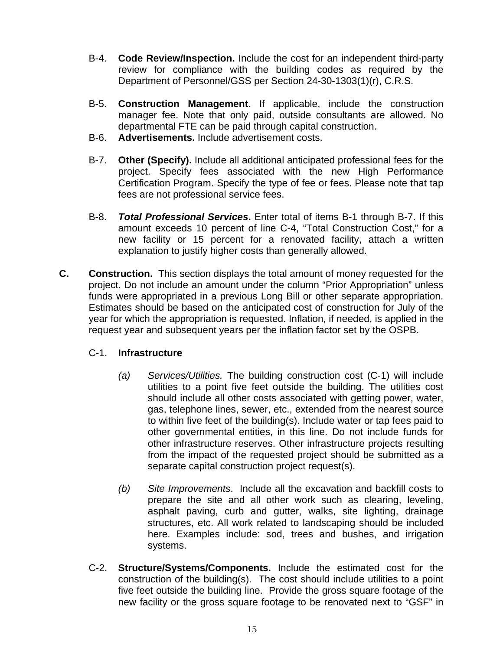- B-4. **Code Review/Inspection.** Include the cost for an independent third-party review for compliance with the building codes as required by the Department of Personnel/GSS per Section 24-30-1303(1)(r), C.R.S.
- B-5. **Construction Management**. If applicable, include the construction manager fee. Note that only paid, outside consultants are allowed. No departmental FTE can be paid through capital construction.
- B-6. **Advertisements.** Include advertisement costs.
- B-7. **Other (Specify).** Include all additional anticipated professional fees for the project. Specify fees associated with the new High Performance Certification Program. Specify the type of fee or fees. Please note that tap fees are not professional service fees.
- B-8. *Total Professional Services***.** Enter total of items B-1 through B-7. If this amount exceeds 10 percent of line C-4, "Total Construction Cost," for a new facility or 15 percent for a renovated facility, attach a written explanation to justify higher costs than generally allowed.
- **C. Construction.** This section displays the total amount of money requested for the project. Do not include an amount under the column "Prior Appropriation" unless funds were appropriated in a previous Long Bill or other separate appropriation. Estimates should be based on the anticipated cost of construction for July of the year for which the appropriation is requested. Inflation, if needed, is applied in the request year and subsequent years per the inflation factor set by the OSPB.

#### C-1. **Infrastructure**

- *(a) Services/Utilities.* The building construction cost (C-1) will include utilities to a point five feet outside the building. The utilities cost should include all other costs associated with getting power, water, gas, telephone lines, sewer, etc., extended from the nearest source to within five feet of the building(s). Include water or tap fees paid to other governmental entities, in this line. Do not include funds for other infrastructure reserves. Other infrastructure projects resulting from the impact of the requested project should be submitted as a separate capital construction project request(s).
- *(b) Site Improvements*. Include all the excavation and backfill costs to prepare the site and all other work such as clearing, leveling, asphalt paving, curb and gutter, walks, site lighting, drainage structures, etc. All work related to landscaping should be included here. Examples include: sod, trees and bushes, and irrigation systems.
- C-2. **Structure/Systems/Components.** Include the estimated cost for the construction of the building(s). The cost should include utilities to a point five feet outside the building line. Provide the gross square footage of the new facility or the gross square footage to be renovated next to "GSF" in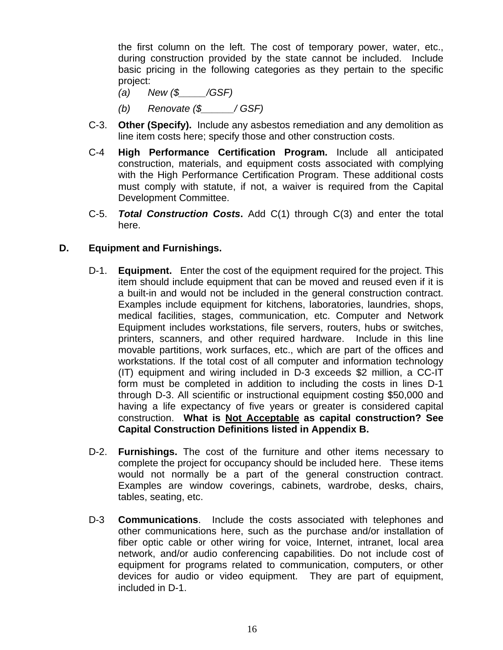the first column on the left. The cost of temporary power, water, etc., during construction provided by the state cannot be included. Include basic pricing in the following categories as they pertain to the specific project:

- *(a) New (\$\_\_\_\_\_/GSF)*
- *(b) Renovate (\$\_\_\_\_\_\_/ GSF)*
- C-3. **Other (Specify).** Include any asbestos remediation and any demolition as line item costs here; specify those and other construction costs.
- C-4 **High Performance Certification Program.** Include all anticipated construction, materials, and equipment costs associated with complying with the High Performance Certification Program. These additional costs must comply with statute, if not, a waiver is required from the Capital Development Committee.
- C-5. *Total Construction Costs***.** Add C(1) through C(3) and enter the total here.

#### **D. Equipment and Furnishings.**

- D-1. **Equipment.** Enter the cost of the equipment required for the project. This item should include equipment that can be moved and reused even if it is a built-in and would not be included in the general construction contract. Examples include equipment for kitchens, laboratories, laundries, shops, medical facilities, stages, communication, etc. Computer and Network Equipment includes workstations, file servers, routers, hubs or switches, printers, scanners, and other required hardware. Include in this line movable partitions, work surfaces, etc., which are part of the offices and workstations. If the total cost of all computer and information technology (IT) equipment and wiring included in D-3 exceeds \$2 million, a CC-IT form must be completed in addition to including the costs in lines D-1 through D-3. All scientific or instructional equipment costing \$50,000 and having a life expectancy of five years or greater is considered capital construction. **What is Not Acceptable as capital construction? See Capital Construction Definitions listed in Appendix B.**
- D-2. **Furnishings.** The cost of the furniture and other items necessary to complete the project for occupancy should be included here. These items would not normally be a part of the general construction contract. Examples are window coverings, cabinets, wardrobe, desks, chairs, tables, seating, etc.
- D-3 **Communications**. Include the costs associated with telephones and other communications here, such as the purchase and/or installation of fiber optic cable or other wiring for voice, Internet, intranet, local area network, and/or audio conferencing capabilities. Do not include cost of equipment for programs related to communication, computers, or other devices for audio or video equipment. They are part of equipment, included in D-1.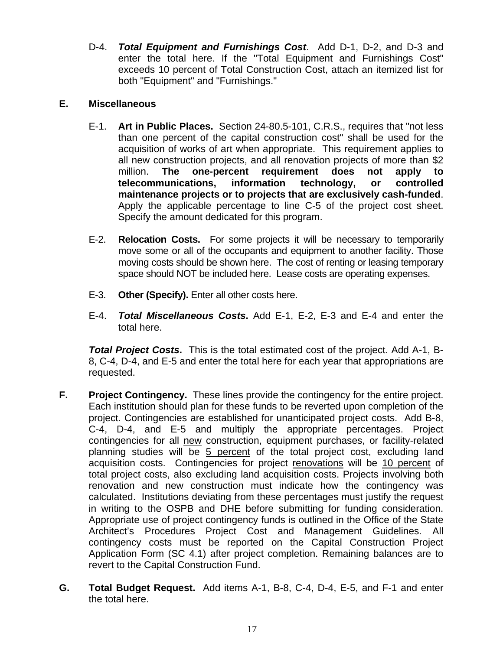D-4. *Total Equipment and Furnishings Cost*. Add D-1, D-2, and D-3 and enter the total here. If the "Total Equipment and Furnishings Cost" exceeds 10 percent of Total Construction Cost, attach an itemized list for both "Equipment" and "Furnishings."

#### **E. Miscellaneous**

- E-1. **Art in Public Places.**Section 24-80.5-101, C.R.S., requires that "not less than one percent of the capital construction cost" shall be used for the acquisition of works of art when appropriate. This requirement applies to all new construction projects, and all renovation projects of more than \$2 million. **The one-percent requirement does not apply to telecommunications, information technology, or controlled maintenance projects or to projects that are exclusively cash-funded**. Apply the applicable percentage to line C-5 of the project cost sheet. Specify the amount dedicated for this program.
- E-2. **Relocation Costs.** For some projects it will be necessary to temporarily move some or all of the occupants and equipment to another facility. Those moving costs should be shown here. The cost of renting or leasing temporary space should NOT be included here. Lease costs are operating expenses.
- E-3. **Other (Specify).** Enter all other costs here.
- E-4. *Total Miscellaneous Costs***.** Add E-1, E-2, E-3 and E-4 and enter the total here.

*Total Project Costs***.** This is the total estimated cost of the project. Add A-1, B-8, C-4, D-4, and E-5 and enter the total here for each year that appropriations are requested.

- **F.** Project Contingency. These lines provide the contingency for the entire project. Each institution should plan for these funds to be reverted upon completion of the project. Contingencies are established for unanticipated project costs. Add B-8, C-4, D-4, and E-5 and multiply the appropriate percentages. Project contingencies for all new construction, equipment purchases, or facility-related planning studies will be 5 percent of the total project cost, excluding land acquisition costs. Contingencies for project renovations will be 10 percent of total project costs, also excluding land acquisition costs. Projects involving both renovation and new construction must indicate how the contingency was calculated. Institutions deviating from these percentages must justify the request in writing to the OSPB and DHE before submitting for funding consideration. Appropriate use of project contingency funds is outlined in the Office of the State Architect's Procedures Project Cost and Management Guidelines. contingency costs must be reported on the Capital Construction Project Application Form (SC 4.1) after project completion. Remaining balances are to revert to the Capital Construction Fund.
- **G. Total Budget Request.**Add items A-1, B-8, C-4, D-4, E-5, and F-1 and enter the total here.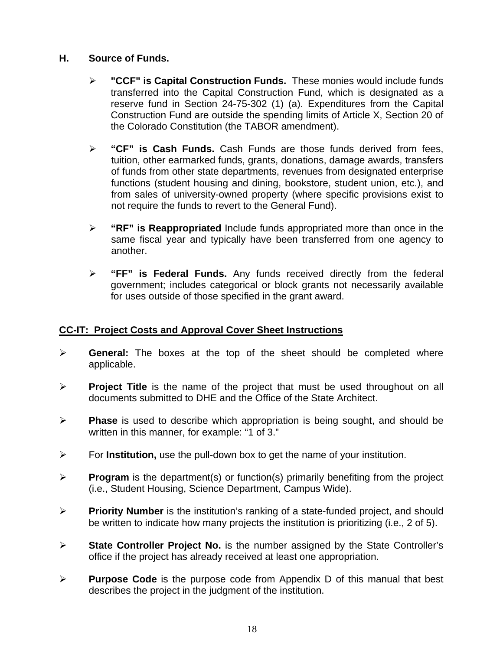#### **H. Source of Funds.**

- ¾ **"CCF" is Capital Construction Funds.** These monies would include funds transferred into the Capital Construction Fund, which is designated as a reserve fund in Section 24-75-302 (1) (a). Expenditures from the Capital Construction Fund are outside the spending limits of Article X, Section 20 of the Colorado Constitution (the TABOR amendment).
- ¾ **"CF" is Cash Funds.** Cash Funds are those funds derived from fees, tuition, other earmarked funds, grants, donations, damage awards, transfers of funds from other state departments, revenues from designated enterprise functions (student housing and dining, bookstore, student union, etc.), and from sales of university-owned property (where specific provisions exist to not require the funds to revert to the General Fund).
- ¾ **"RF" is Reappropriated** Include funds appropriated more than once in the same fiscal year and typically have been transferred from one agency to another.
- ¾ **"FF" is Federal Funds.** Any funds received directly from the federal government; includes categorical or block grants not necessarily available for uses outside of those specified in the grant award.

#### **CC-IT: Project Costs and Approval Cover Sheet Instructions**

- ¾ **General:** The boxes at the top of the sheet should be completed where applicable.
- ¾ **Project Title** is the name of the project that must be used throughout on all documents submitted to DHE and the Office of the State Architect.
- ¾ **Phase** is used to describe which appropriation is being sought, and should be written in this manner, for example: "1 of 3."
- ¾ For **Institution,** use the pull-down box to get the name of your institution.
- ¾ **Program** is the department(s) or function(s) primarily benefiting from the project (i.e., Student Housing, Science Department, Campus Wide).
- ¾ **Priority Number** is the institution's ranking of a state-funded project, and should be written to indicate how many projects the institution is prioritizing (i.e., 2 of 5).
- ¾ **State Controller Project No.** is the number assigned by the State Controller's office if the project has already received at least one appropriation.
- ¾ **Purpose Code** is the purpose code from Appendix D of this manual that best describes the project in the judgment of the institution.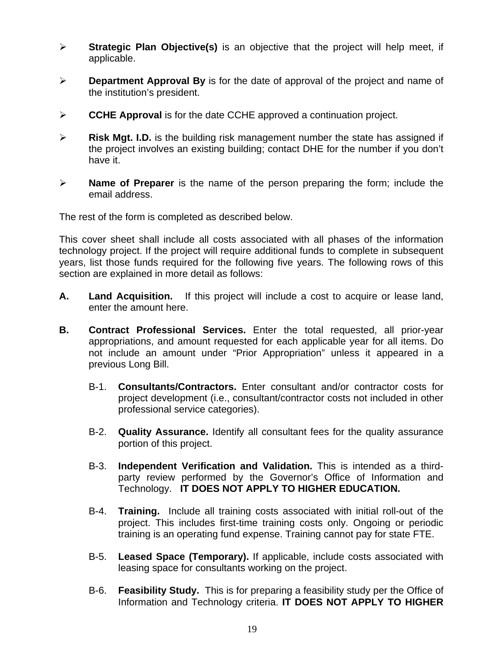- ¾ **Strategic Plan Objective(s)** is an objective that the project will help meet, if applicable.
- ¾ **Department Approval By** is for the date of approval of the project and name of the institution's president.
- ¾ **CCHE Approval** is for the date CCHE approved a continuation project.
- ¾ **Risk Mgt. I.D.** is the building risk management number the state has assigned if the project involves an existing building; contact DHE for the number if you don't have it.
- ¾ **Name of Preparer** is the name of the person preparing the form; include the email address.

The rest of the form is completed as described below.

This cover sheet shall include all costs associated with all phases of the information technology project. If the project will require additional funds to complete in subsequent years, list those funds required for the following five years. The following rows of this section are explained in more detail as follows:

- **A. Land Acquisition.** If this project will include a cost to acquire or lease land, enter the amount here.
- **B. Contract Professional Services.** Enter the total requested, all prior-year appropriations, and amount requested for each applicable year for all items. Do not include an amount under "Prior Appropriation" unless it appeared in a previous Long Bill.
	- B-1. **Consultants/Contractors.** Enter consultant and/or contractor costs for project development (i.e., consultant/contractor costs not included in other professional service categories).
	- B-2. **Quality Assurance.** Identify all consultant fees for the quality assurance portion of this project.
	- B-3. **Independent Verification and Validation.** This is intended as a thirdparty review performed by the Governor's Office of Information and Technology. **IT DOES NOT APPLY TO HIGHER EDUCATION.**
	- B-4. **Training.** Include all training costs associated with initial roll-out of the project. This includes first-time training costs only. Ongoing or periodic training is an operating fund expense. Training cannot pay for state FTE.
	- B-5. **Leased Space (Temporary).** If applicable, include costs associated with leasing space for consultants working on the project.
	- B-6. **Feasibility Study.** This is for preparing a feasibility study per the Office of Information and Technology criteria. **IT DOES NOT APPLY TO HIGHER**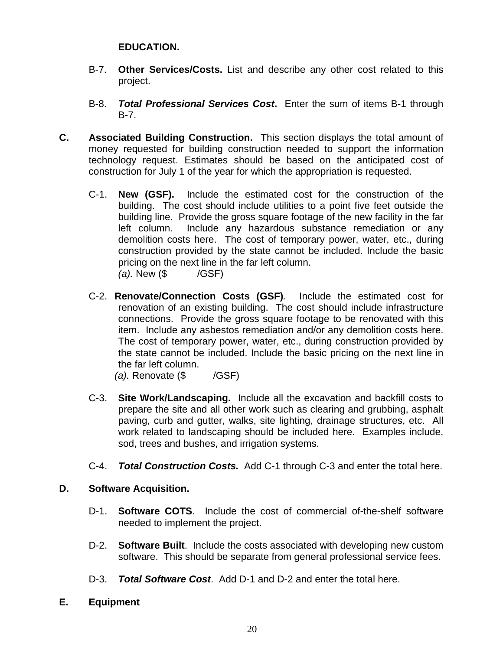#### **EDUCATION.**

- B-7. **Other Services/Costs.** List and describe any other cost related to this project.
- B-8. *Total Professional Services Cost***.** Enter the sum of items B-1 through B-7.
- **C. Associated Building Construction.** This section displays the total amount of money requested for building construction needed to support the information technology request. Estimates should be based on the anticipated cost of construction for July 1 of the year for which the appropriation is requested.
	- C-1. **New (GSF).** Include the estimated cost for the construction of the building. The cost should include utilities to a point five feet outside the building line. Provide the gross square footage of the new facility in the far left column. Include any hazardous substance remediation or any demolition costs here. The cost of temporary power, water, etc., during construction provided by the state cannot be included. Include the basic pricing on the next line in the far left column. *(a).* New (\$ /GSF)
	- C-2. **Renovate/Connection Costs (GSF)***.* Include the estimated cost for renovation of an existing building. The cost should include infrastructure connections. Provide the gross square footage to be renovated with this item. Include any asbestos remediation and/or any demolition costs here. The cost of temporary power, water, etc., during construction provided by the state cannot be included. Include the basic pricing on the next line in the far left column.

*(a).* Renovate (\$ /GSF)

- C-3. **Site Work/Landscaping.** Include all the excavation and backfill costs to prepare the site and all other work such as clearing and grubbing, asphalt paving, curb and gutter, walks, site lighting, drainage structures, etc. All work related to landscaping should be included here. Examples include, sod, trees and bushes, and irrigation systems.
- C-4. *Total Construction Costs.* Add C-1 through C-3 and enter the total here.

#### **D. Software Acquisition.**

- D-1. **Software COTS**. Include the cost of commercial of-the-shelf software needed to implement the project.
- D-2. **Software Built**. Include the costs associated with developing new custom software. This should be separate from general professional service fees.
- D-3. *Total Software Cost*. Add D-1 and D-2 and enter the total here.
- **E. Equipment**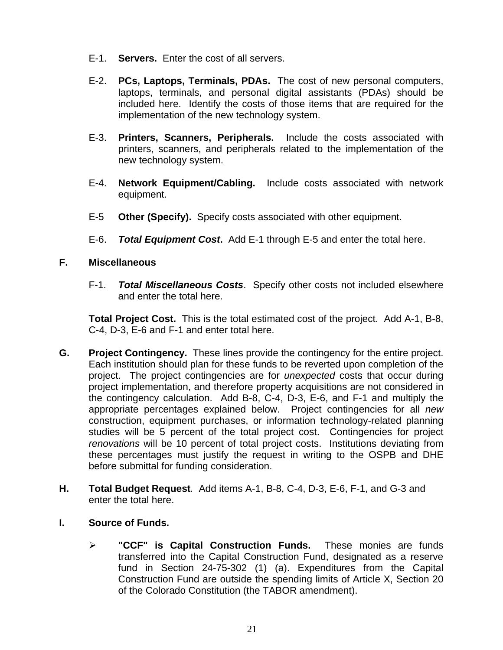- E-1. **Servers.** Enter the cost of all servers.
- E-2. **PCs, Laptops, Terminals, PDAs.** The cost of new personal computers, laptops, terminals, and personal digital assistants (PDAs) should be included here. Identify the costs of those items that are required for the implementation of the new technology system.
- E-3. **Printers, Scanners, Peripherals.** Include the costs associated with printers, scanners, and peripherals related to the implementation of the new technology system.
- E-4. **Network Equipment/Cabling.** Include costs associated with network equipment.
- E-5 **Other (Specify).** Specify costs associated with other equipment.
- E-6. *Total Equipment Cost***.** Add E-1 through E-5 and enter the total here.

#### **F. Miscellaneous**

F-1. *Total Miscellaneous Costs*. Specify other costs not included elsewhere and enter the total here.

**Total Project Cost.**This is the total estimated cost of the project. Add A-1, B-8, C-4, D-3, E-6 and F-1 and enter total here.

- **G. Project Contingency.** These lines provide the contingency for the entire project. Each institution should plan for these funds to be reverted upon completion of the project. The project contingencies are for *unexpected* costs that occur during project implementation, and therefore property acquisitions are not considered in the contingency calculation. Add B-8, C-4, D-3, E-6, and F-1 and multiply the appropriate percentages explained below. Project contingencies for all *new* construction, equipment purchases, or information technology-related planning studies will be 5 percent of the total project cost. Contingencies for project *renovations* will be 10 percent of total project costs. Institutions deviating from these percentages must justify the request in writing to the OSPB and DHE before submittal for funding consideration.
- **H. Total Budget Request***.* Add items A-1, B-8, C-4, D-3, E-6, F-1, and G-3 and enter the total here.
- **I. Source of Funds.** 
	- ¾ **"CCF" is Capital Construction Funds.** These monies are funds transferred into the Capital Construction Fund, designated as a reserve fund in Section 24-75-302 (1) (a). Expenditures from the Capital Construction Fund are outside the spending limits of Article X, Section 20 of the Colorado Constitution (the TABOR amendment).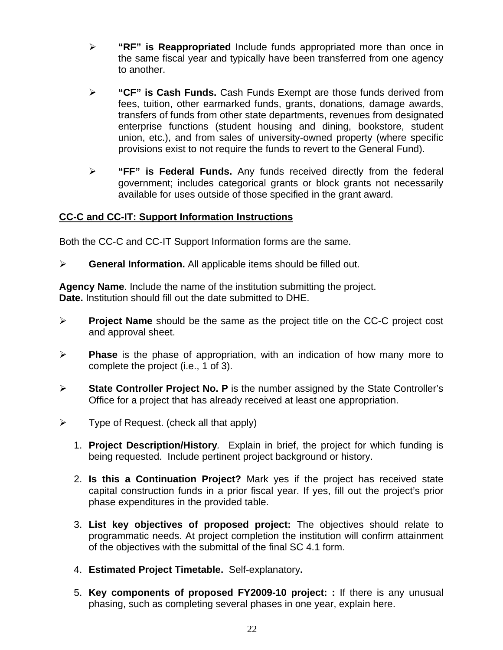- ¾ **"RF" is Reappropriated** Include funds appropriated more than once in the same fiscal year and typically have been transferred from one agency to another.
- ¾ **"CF" is Cash Funds.** Cash Funds Exempt are those funds derived from fees, tuition, other earmarked funds, grants, donations, damage awards, transfers of funds from other state departments, revenues from designated enterprise functions (student housing and dining, bookstore, student union, etc.), and from sales of university-owned property (where specific provisions exist to not require the funds to revert to the General Fund).
- ¾ **"FF" is Federal Funds.** Any funds received directly from the federal government; includes categorical grants or block grants not necessarily available for uses outside of those specified in the grant award.

#### **CC-C and CC-IT: Support Information Instructions**

Both the CC-C and CC-IT Support Information forms are the same.

¾ **General Information.** All applicable items should be filled out.

**Agency Name**. Include the name of the institution submitting the project. **Date.** Institution should fill out the date submitted to DHE.

- ¾ **Project Name** should be the same as the project title on the CC-C project cost and approval sheet.
- ¾ **Phase** is the phase of appropriation, with an indication of how many more to complete the project (i.e., 1 of 3).
- ¾ **State Controller Project No. P** is the number assigned by the State Controller's Office for a project that has already received at least one appropriation.
- $\triangleright$  Type of Request. (check all that apply)
	- 1. **Project Description/History***.* Explain in brief, the project for which funding is being requested. Include pertinent project background or history.
	- 2. **Is this a Continuation Project?** Mark yes if the project has received state capital construction funds in a prior fiscal year. If yes, fill out the project's prior phase expenditures in the provided table.
	- 3. **List key objectives of proposed project:** The objectives should relate to programmatic needs. At project completion the institution will confirm attainment of the objectives with the submittal of the final SC 4.1 form.
	- 4. **Estimated Project Timetable.** Self-explanatory**.**
	- 5. **Key components of proposed FY2009-10 project: :** If there is any unusual phasing, such as completing several phases in one year, explain here.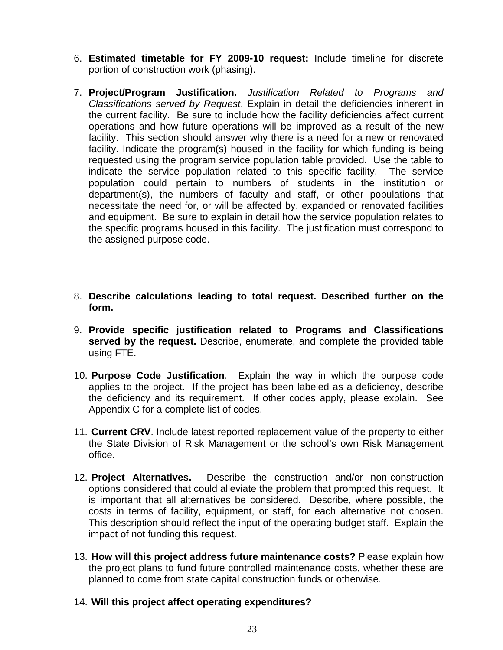- 6. **Estimated timetable for FY 2009-10 request:** Include timeline for discrete portion of construction work (phasing).
- 7. **Project/Program Justification.** *Justification Related to Programs and Classifications served by Request*. Explain in detail the deficiencies inherent in the current facility. Be sure to include how the facility deficiencies affect current operations and how future operations will be improved as a result of the new facility. This section should answer why there is a need for a new or renovated facility. Indicate the program(s) housed in the facility for which funding is being requested using the program service population table provided. Use the table to indicate the service population related to this specific facility. The service population could pertain to numbers of students in the institution or department(s), the numbers of faculty and staff, or other populations that necessitate the need for, or will be affected by, expanded or renovated facilities and equipment. Be sure to explain in detail how the service population relates to the specific programs housed in this facility. The justification must correspond to the assigned purpose code.
- 8. **Describe calculations leading to total request. Described further on the form.**
- 9. **Provide specific justification related to Programs and Classifications served by the request.** Describe, enumerate, and complete the provided table using FTE.
- 10. **Purpose Code Justification***.* Explain the way in which the purpose code applies to the project. If the project has been labeled as a deficiency, describe the deficiency and its requirement. If other codes apply, please explain. See Appendix C for a complete list of codes.
- 11. **Current CRV**. Include latest reported replacement value of the property to either the State Division of Risk Management or the school's own Risk Management office.
- 12. **Project Alternatives.** Describe the construction and/or non-construction options considered that could alleviate the problem that prompted this request. It is important that all alternatives be considered. Describe, where possible, the costs in terms of facility, equipment, or staff, for each alternative not chosen. This description should reflect the input of the operating budget staff. Explain the impact of not funding this request.
- 13. **How will this project address future maintenance costs?** Please explain how the project plans to fund future controlled maintenance costs, whether these are planned to come from state capital construction funds or otherwise.
- 14. **Will this project affect operating expenditures?**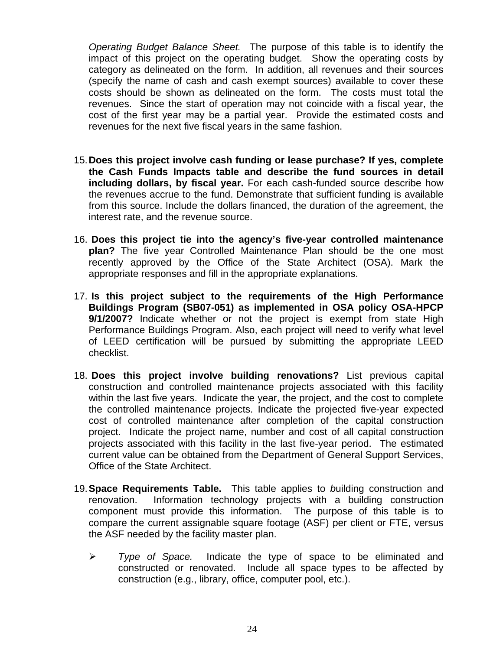*Operating Budget Balance Sheet.* The purpose of this table is to identify the impact of this project on the operating budget. Show the operating costs by category as delineated on the form. In addition, all revenues and their sources (specify the name of cash and cash exempt sources) available to cover these costs should be shown as delineated on the form. The costs must total the revenues. Since the start of operation may not coincide with a fiscal year, the cost of the first year may be a partial year. Provide the estimated costs and revenues for the next five fiscal years in the same fashion.

- 15.**Does this project involve cash funding or lease purchase? If yes, complete the Cash Funds Impacts table and describe the fund sources in detail including dollars, by fiscal year.** For each cash-funded source describe how the revenues accrue to the fund. Demonstrate that sufficient funding is available from this source. Include the dollars financed, the duration of the agreement, the interest rate, and the revenue source.
- 16. **Does this project tie into the agency's five-year controlled maintenance plan?** The five year Controlled Maintenance Plan should be the one most recently approved by the Office of the State Architect (OSA). Mark the appropriate responses and fill in the appropriate explanations.
- 17. **Is this project subject to the requirements of the High Performance Buildings Program (SB07-051) as implemented in OSA policy OSA-HPCP 9/1/2007?** Indicate whether or not the project is exempt from state High Performance Buildings Program. Also, each project will need to verify what level of LEED certification will be pursued by submitting the appropriate LEED checklist.
- 18. **Does this project involve building renovations?** List previous capital construction and controlled maintenance projects associated with this facility within the last five years. Indicate the year, the project, and the cost to complete the controlled maintenance projects. Indicate the projected five-year expected cost of controlled maintenance after completion of the capital construction project. Indicate the project name, number and cost of all capital construction projects associated with this facility in the last five-year period. The estimated current value can be obtained from the Department of General Support Services, Office of the State Architect.
- 19.**Space Requirements Table.**This table applies to *b*uilding construction and renovation. Information technology projects with a building construction component must provide this information. The purpose of this table is to compare the current assignable square footage (ASF) per client or FTE, versus the ASF needed by the facility master plan.
	- ¾ *Type of Space.* Indicate the type of space to be eliminated and constructed or renovated. Include all space types to be affected by construction (e.g., library, office, computer pool, etc.).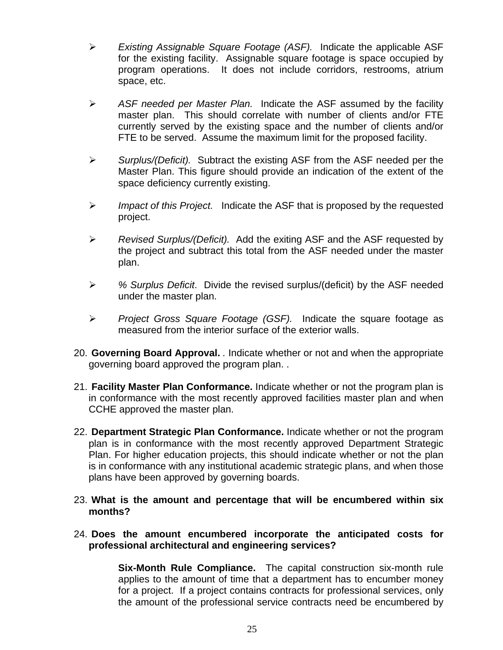- ¾ *Existing Assignable Square Footage (ASF).* Indicate the applicable ASF for the existing facility. Assignable square footage is space occupied by program operations. It does not include corridors, restrooms, atrium space, etc.
- ¾ *ASF needed per Master Plan.* Indicate the ASF assumed by the facility master plan. This should correlate with number of clients and/or FTE currently served by the existing space and the number of clients and/or FTE to be served. Assume the maximum limit for the proposed facility.
- ¾ *Surplus/(Deficit).* Subtract the existing ASF from the ASF needed per the Master Plan. This figure should provide an indication of the extent of the space deficiency currently existing.
- ¾ *Impact of this Project.* Indicate the ASF that is proposed by the requested project.
- ¾ *Revised Surplus/(Deficit).* Add the exiting ASF and the ASF requested by the project and subtract this total from the ASF needed under the master plan.
- ¾ *% Surplus Deficit*. Divide the revised surplus/(deficit) by the ASF needed under the master plan.
- ¾ *Project Gross Square Footage (GSF).* Indicate the square footage as measured from the interior surface of the exterior walls.
- 20. **Governing Board Approval.** *.* Indicate whether or not and when the appropriate governing board approved the program plan. .
- 21. **Facility Master Plan Conformance.** Indicate whether or not the program plan is in conformance with the most recently approved facilities master plan and when CCHE approved the master plan.
- 22. **Department Strategic Plan Conformance.** Indicate whether or not the program plan is in conformance with the most recently approved Department Strategic Plan. For higher education projects, this should indicate whether or not the plan is in conformance with any institutional academic strategic plans, and when those plans have been approved by governing boards.
- 23. **What is the amount and percentage that will be encumbered within six months?**
- 24. **Does the amount encumbered incorporate the anticipated costs for professional architectural and engineering services?**

**Six-Month Rule Compliance.** The capital construction six-month rule applies to the amount of time that a department has to encumber money for a project. If a project contains contracts for professional services, only the amount of the professional service contracts need be encumbered by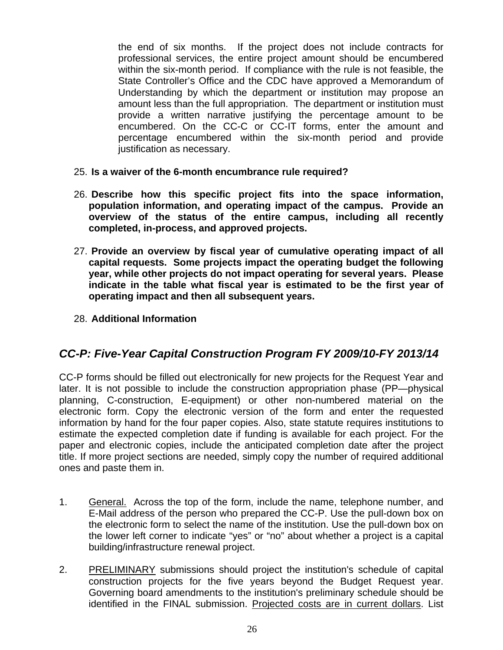the end of six months. If the project does not include contracts for professional services, the entire project amount should be encumbered within the six-month period. If compliance with the rule is not feasible, the State Controller's Office and the CDC have approved a Memorandum of Understanding by which the department or institution may propose an amount less than the full appropriation. The department or institution must provide a written narrative justifying the percentage amount to be encumbered. On the CC-C or CC-IT forms, enter the amount and percentage encumbered within the six-month period and provide justification as necessary.

- 25. **Is a waiver of the 6-month encumbrance rule required?**
- 26. **Describe how this specific project fits into the space information, population information, and operating impact of the campus. Provide an overview of the status of the entire campus, including all recently completed, in-process, and approved projects.**
- 27. **Provide an overview by fiscal year of cumulative operating impact of all capital requests. Some projects impact the operating budget the following year, while other projects do not impact operating for several years. Please indicate in the table what fiscal year is estimated to be the first year of operating impact and then all subsequent years.**
- 28. **Additional Information**

#### *CC-P: Five-Year Capital Construction Program FY 2009/10-FY 2013/14*

CC-P forms should be filled out electronically for new projects for the Request Year and later. It is not possible to include the construction appropriation phase (PP—physical planning, C-construction, E-equipment) or other non-numbered material on the electronic form. Copy the electronic version of the form and enter the requested information by hand for the four paper copies. Also, state statute requires institutions to estimate the expected completion date if funding is available for each project. For the paper and electronic copies, include the anticipated completion date after the project title. If more project sections are needed, simply copy the number of required additional ones and paste them in.

- 1. General. Across the top of the form, include the name, telephone number, and E-Mail address of the person who prepared the CC-P. Use the pull-down box on the electronic form to select the name of the institution. Use the pull-down box on the lower left corner to indicate "yes" or "no" about whether a project is a capital building/infrastructure renewal project.
- 2. PRELIMINARY submissions should project the institution's schedule of capital construction projects for the five years beyond the Budget Request year. Governing board amendments to the institution's preliminary schedule should be identified in the FINAL submission. Projected costs are in current dollars. List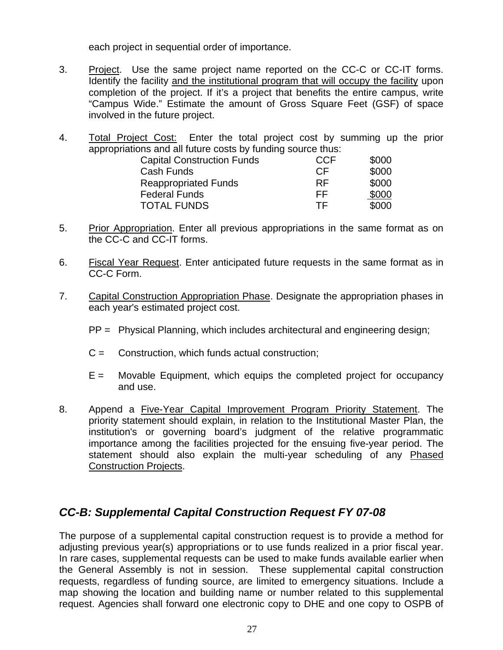each project in sequential order of importance.

- 3. Project. Use the same project name reported on the CC-C or CC-IT forms. Identify the facility and the institutional program that will occupy the facility upon completion of the project. If it's a project that benefits the entire campus, write "Campus Wide." Estimate the amount of Gross Square Feet (GSF) of space involved in the future project.
- 4. Total Project Cost: Enter the total project cost by summing up the prior appropriations and all future costs by funding source thus:

| <b>Capital Construction Funds</b> | <b>CCF</b> | \$000 |
|-----------------------------------|------------|-------|
| Cash Funds                        | CF.        | \$000 |
| <b>Reappropriated Funds</b>       | <b>RF</b>  | \$000 |
| <b>Federal Funds</b>              | FF         | \$000 |
| <b>TOTAL FUNDS</b>                | TF.        | \$000 |

- 5. Prior Appropriation. Enter all previous appropriations in the same format as on the CC-C and CC-IT forms.
- 6. Fiscal Year Request. Enter anticipated future requests in the same format as in CC-C Form.
- 7. Capital Construction Appropriation Phase. Designate the appropriation phases in each year's estimated project cost.
	- PP = Physical Planning, which includes architectural and engineering design;
	- $C =$  Construction, which funds actual construction;
	- $E =$  Movable Equipment, which equips the completed project for occupancy and use.
- 8. Append a Five-Year Capital Improvement Program Priority Statement. The priority statement should explain, in relation to the Institutional Master Plan, the institution's or governing board's judgment of the relative programmatic importance among the facilities projected for the ensuing five-year period. The statement should also explain the multi-year scheduling of any Phased Construction Projects.

### *CC-B: Supplemental Capital Construction Request FY 07-08*

The purpose of a supplemental capital construction request is to provide a method for adjusting previous year(s) appropriations or to use funds realized in a prior fiscal year. In rare cases, supplemental requests can be used to make funds available earlier when the General Assembly is not in session. These supplemental capital construction requests, regardless of funding source, are limited to emergency situations. Include a map showing the location and building name or number related to this supplemental request. Agencies shall forward one electronic copy to DHE and one copy to OSPB of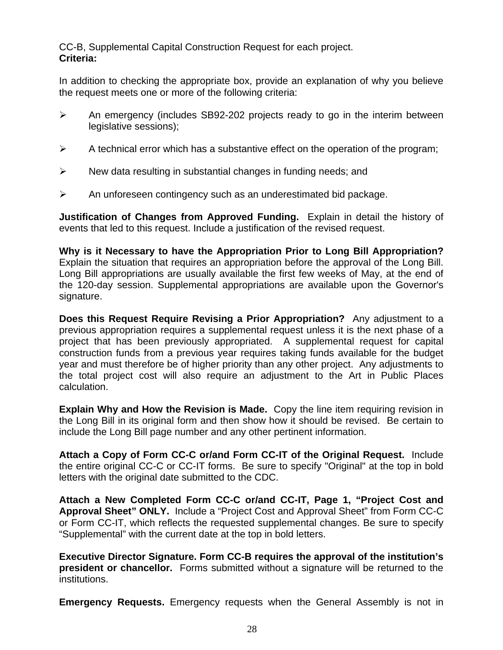CC-B, Supplemental Capital Construction Request for each project. **Criteria:** 

In addition to checking the appropriate box, provide an explanation of why you believe the request meets one or more of the following criteria:

- $\triangleright$  An emergency (includes SB92-202 projects ready to go in the interim between legislative sessions);
- $\triangleright$  A technical error which has a substantive effect on the operation of the program;
- $\triangleright$  New data resulting in substantial changes in funding needs; and
- $\triangleright$  An unforeseen contingency such as an underestimated bid package.

**Justification of Changes from Approved Funding.** Explain in detail the history of events that led to this request. Include a justification of the revised request.

**Why is it Necessary to have the Appropriation Prior to Long Bill Appropriation?**  Explain the situation that requires an appropriation before the approval of the Long Bill. Long Bill appropriations are usually available the first few weeks of May, at the end of the 120-day session. Supplemental appropriations are available upon the Governor's signature.

**Does this Request Require Revising a Prior Appropriation?** Any adjustment to a previous appropriation requires a supplemental request unless it is the next phase of a project that has been previously appropriated. A supplemental request for capital construction funds from a previous year requires taking funds available for the budget year and must therefore be of higher priority than any other project. Any adjustments to the total project cost will also require an adjustment to the Art in Public Places calculation.

**Explain Why and How the Revision is Made.** Copy the line item requiring revision in the Long Bill in its original form and then show how it should be revised. Be certain to include the Long Bill page number and any other pertinent information.

**Attach a Copy of Form CC-C or/and Form CC-IT of the Original Request.** Include the entire original CC-C or CC-IT forms. Be sure to specify "Original" at the top in bold letters with the original date submitted to the CDC.

**Attach a New Completed Form CC-C or/and CC-IT, Page 1, "Project Cost and Approval Sheet" ONLY.** Include a "Project Cost and Approval Sheet" from Form CC-C or Form CC-IT, which reflects the requested supplemental changes. Be sure to specify "Supplemental" with the current date at the top in bold letters.

**Executive Director Signature. Form CC-B requires the approval of the institution's president or chancellor.** Forms submitted without a signature will be returned to the institutions.

**Emergency Requests.** Emergency requests when the General Assembly is not in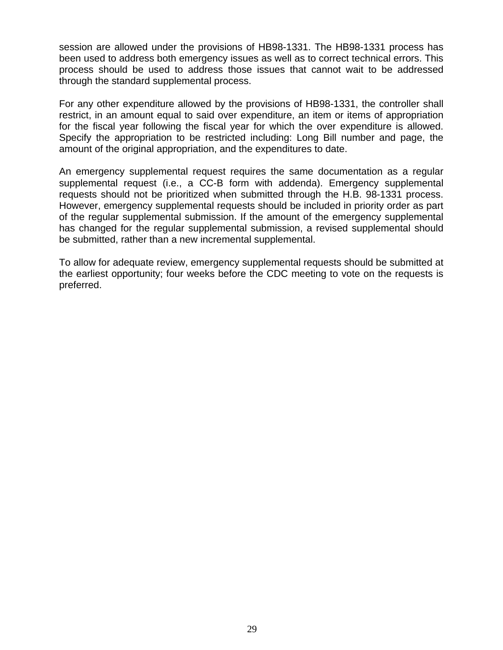session are allowed under the provisions of HB98-1331. The HB98-1331 process has been used to address both emergency issues as well as to correct technical errors. This process should be used to address those issues that cannot wait to be addressed through the standard supplemental process.

For any other expenditure allowed by the provisions of HB98-1331, the controller shall restrict, in an amount equal to said over expenditure, an item or items of appropriation for the fiscal year following the fiscal year for which the over expenditure is allowed. Specify the appropriation to be restricted including: Long Bill number and page, the amount of the original appropriation, and the expenditures to date.

An emergency supplemental request requires the same documentation as a regular supplemental request (i.e., a CC-B form with addenda). Emergency supplemental requests should not be prioritized when submitted through the H.B. 98-1331 process. However, emergency supplemental requests should be included in priority order as part of the regular supplemental submission. If the amount of the emergency supplemental has changed for the regular supplemental submission, a revised supplemental should be submitted, rather than a new incremental supplemental.

To allow for adequate review, emergency supplemental requests should be submitted at the earliest opportunity; four weeks before the CDC meeting to vote on the requests is preferred.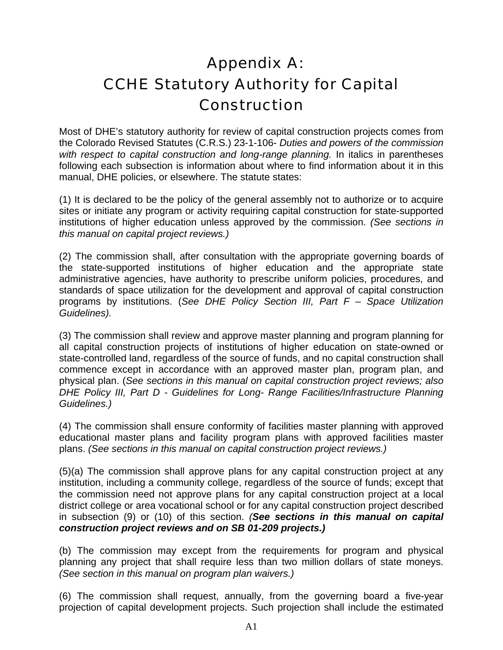# Appendix A: CCHE Statutory Authority for Capital Construction

Most of DHE's statutory authority for review of capital construction projects comes from the Colorado Revised Statutes (C.R.S.) 23-1-106- *Duties and powers of the commission*  with respect to capital construction and long-range planning. In italics in parentheses following each subsection is information about where to find information about it in this manual, DHE policies, or elsewhere. The statute states:

(1) It is declared to be the policy of the general assembly not to authorize or to acquire sites or initiate any program or activity requiring capital construction for state-supported institutions of higher education unless approved by the commission. *(See sections in this manual on capital project reviews.)* 

(2) The commission shall, after consultation with the appropriate governing boards of the state-supported institutions of higher education and the appropriate state administrative agencies, have authority to prescribe uniform policies, procedures, and standards of space utilization for the development and approval of capital construction programs by institutions. (*See DHE Policy Section III, Part F – Space Utilization Guidelines).* 

(3) The commission shall review and approve master planning and program planning for all capital construction projects of institutions of higher education on state-owned or state-controlled land, regardless of the source of funds, and no capital construction shall commence except in accordance with an approved master plan, program plan, and physical plan. (*See sections in this manual on capital construction project reviews; also DHE Policy III, Part D - Guidelines for Long- Range Facilities/Infrastructure Planning Guidelines.)* 

(4) The commission shall ensure conformity of facilities master planning with approved educational master plans and facility program plans with approved facilities master plans. *(See sections in this manual on capital construction project reviews.)* 

(5)(a) The commission shall approve plans for any capital construction project at any institution, including a community college, regardless of the source of funds; except that the commission need not approve plans for any capital construction project at a local district college or area vocational school or for any capital construction project described in subsection (9) or (10) of this section. *(See sections in this manual on capital construction project reviews and on SB 01-209 projects.)*

(b) The commission may except from the requirements for program and physical planning any project that shall require less than two million dollars of state moneys. *(See section in this manual on program plan waivers.)* 

(6) The commission shall request, annually, from the governing board a five-year projection of capital development projects. Such projection shall include the estimated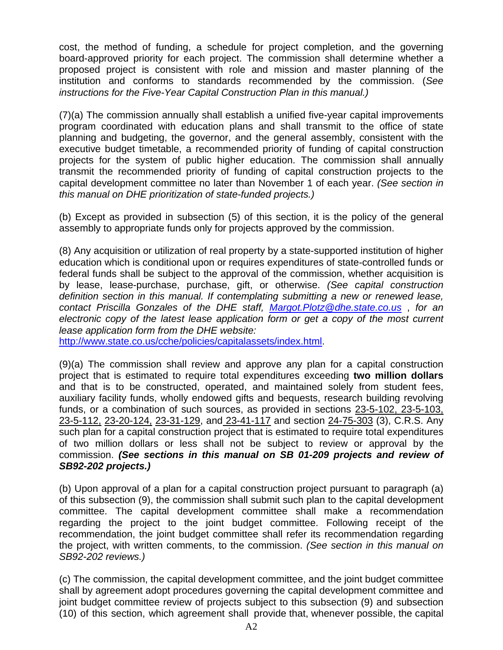cost, the method of funding, a schedule for project completion, and the governing board-approved priority for each project. The commission shall determine whether a proposed project is consistent with role and mission and master planning of the institution and conforms to standards recommended by the commission. (*See instructions for the Five-Year Capital Construction Plan in this manual.)* 

(7)(a) The commission annually shall establish a unified five-year capital improvements program coordinated with education plans and shall transmit to the office of state planning and budgeting, the governor, and the general assembly, consistent with the executive budget timetable, a recommended priority of funding of capital construction projects for the system of public higher education. The commission shall annually transmit the recommended priority of funding of capital construction projects to the capital development committee no later than November 1 of each year. *(See section in this manual on DHE prioritization of state-funded projects.)* 

(b) Except as provided in subsection (5) of this section, it is the policy of the general assembly to appropriate funds only for projects approved by the commission.

(8) Any acquisition or utilization of real property by a state-supported institution of higher education which is conditional upon or requires expenditures of state-controlled funds or federal funds shall be subject to the approval of the commission, whether acquisition is by lease, lease-purchase, purchase, gift, or otherwise. *(See capital construction definition section in this manual. If contemplating submitting a new or renewed lease, contact Priscilla Gonzales of the DHE staff, [Margot.Plotz@dhe.state.co.us](mailto:Margot.Plotz@dhe.state.co.us)* , *for an electronic copy of the latest lease application form or get a copy of the most current lease application form from the DHE website:* 

<http://www.state.co.us/cche/policies/capitalassets/index.html>.

(9)(a) The commission shall review and approve any plan for a capital construction project that is estimated to require total expenditures exceeding **two million dollars** and that is to be constructed, operated, and maintained solely from student fees, auxiliary facility funds, wholly endowed gifts and bequests, research building revolving funds, or a combination of such sources, as provided in sections 23-5-102, 23-5-103, 23-5-112, 23-20-124, 23-31-129, and 23-41-117 and section 24-75-303 (3), C.R.S. Any such plan for a capital construction project that is estimated to require total expenditures of two million dollars or less shall not be subject to review or approval by the commission. *(See sections in this manual on SB 01-209 projects and review of SB92-202 projects.)*

(b) Upon approval of a plan for a capital construction project pursuant to paragraph (a) of this subsection (9), the commission shall submit such plan to the capital development committee. The capital development committee shall make a recommendation regarding the project to the joint budget committee. Following receipt of the recommendation, the joint budget committee shall refer its recommendation regarding the project, with written comments, to the commission. *(See section in this manual on SB92-202 reviews.)* 

(c) The commission, the capital development committee, and the joint budget committee shall by agreement adopt procedures governing the capital development committee and joint budget committee review of projects subject to this subsection (9) and subsection (10) of this section, which agreement shall provide that, whenever possible, the capital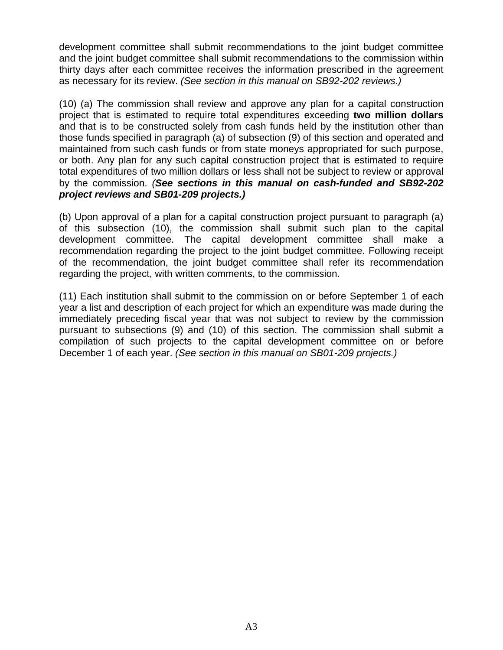development committee shall submit recommendations to the joint budget committee and the joint budget committee shall submit recommendations to the commission within thirty days after each committee receives the information prescribed in the agreement as necessary for its review. *(See section in this manual on SB92-202 reviews.)* 

(10) (a) The commission shall review and approve any plan for a capital construction project that is estimated to require total expenditures exceeding **two million dollars** and that is to be constructed solely from cash funds held by the institution other than those funds specified in paragraph (a) of subsection (9) of this section and operated and maintained from such cash funds or from state moneys appropriated for such purpose, or both. Any plan for any such capital construction project that is estimated to require total expenditures of two million dollars or less shall not be subject to review or approval by the commission. *(See sections in this manual on cash-funded and SB92-202 project reviews and SB01-209 projects.)* 

(b) Upon approval of a plan for a capital construction project pursuant to paragraph (a) of this subsection (10), the commission shall submit such plan to the capital development committee. The capital development committee shall make a recommendation regarding the project to the joint budget committee. Following receipt of the recommendation, the joint budget committee shall refer its recommendation regarding the project, with written comments, to the commission.

(11) Each institution shall submit to the commission on or before September 1 of each year a list and description of each project for which an expenditure was made during the immediately preceding fiscal year that was not subject to review by the commission pursuant to subsections (9) and (10) of this section. The commission shall submit a compilation of such projects to the capital development committee on or before December 1 of each year. *(See section in this manual on SB01-209 projects.)*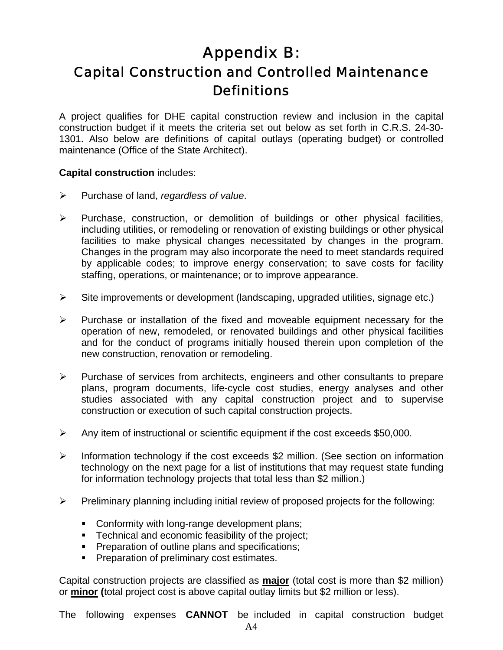## Appendix B: Capital Construction and Controlled Maintenance **Definitions**

A project qualifies for DHE capital construction review and inclusion in the capital construction budget if it meets the criteria set out below as set forth in C.R.S. 24-30- 1301. Also below are definitions of capital outlays (operating budget) or controlled maintenance (Office of the State Architect).

#### **Capital construction** includes:

- ¾ Purchase of land, *regardless of value*.
- $\triangleright$  Purchase, construction, or demolition of buildings or other physical facilities, including utilities, or remodeling or renovation of existing buildings or other physical facilities to make physical changes necessitated by changes in the program. Changes in the program may also incorporate the need to meet standards required by applicable codes; to improve energy conservation; to save costs for facility staffing, operations, or maintenance; or to improve appearance.
- ¾ Site improvements or development (landscaping, upgraded utilities, signage etc.)
- $\triangleright$  Purchase or installation of the fixed and moveable equipment necessary for the operation of new, remodeled, or renovated buildings and other physical facilities and for the conduct of programs initially housed therein upon completion of the new construction, renovation or remodeling.
- ¾ Purchase of services from architects, engineers and other consultants to prepare plans, program documents, life-cycle cost studies, energy analyses and other studies associated with any capital construction project and to supervise construction or execution of such capital construction projects.
- $\triangleright$  Any item of instructional or scientific equipment if the cost exceeds \$50,000.
- ¾ Information technology if the cost exceeds \$2 million. (See section on information technology on the next page for a list of institutions that may request state funding for information technology projects that total less than \$2 million.)
- $\triangleright$  Preliminary planning including initial review of proposed projects for the following:
	- Conformity with long-range development plans;
	- **Technical and economic feasibility of the project;**
	- **Preparation of outline plans and specifications;**
	- **Preparation of preliminary cost estimates.**

Capital construction projects are classified as **major** (total cost is more than \$2 million) or **minor (**total project cost is above capital outlay limits but \$2 million or less).

The following expenses **CANNOT** be included in capital construction budget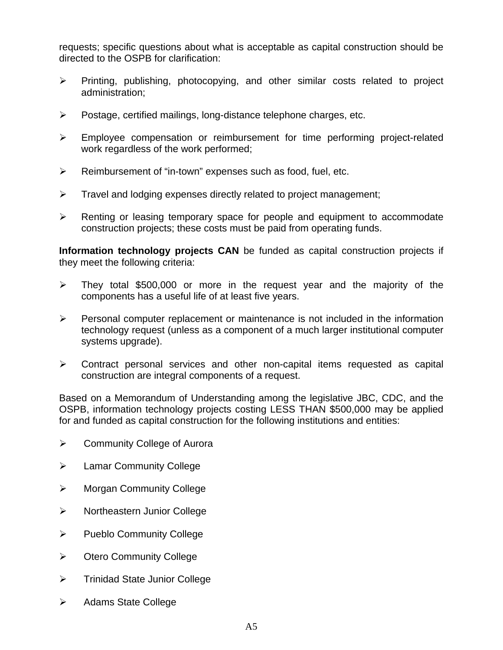requests; specific questions about what is acceptable as capital construction should be directed to the OSPB for clarification:

- ¾ Printing, publishing, photocopying, and other similar costs related to project administration;
- ¾ Postage, certified mailings, long-distance telephone charges, etc.
- ¾ Employee compensation or reimbursement for time performing project-related work regardless of the work performed;
- $\triangleright$  Reimbursement of "in-town" expenses such as food, fuel, etc.
- $\triangleright$  Travel and lodging expenses directly related to project management;
- $\triangleright$  Renting or leasing temporary space for people and equipment to accommodate construction projects; these costs must be paid from operating funds.

**Information technology projects CAN** be funded as capital construction projects if they meet the following criteria:

- $\triangleright$  They total \$500,000 or more in the request year and the majority of the components has a useful life of at least five years.
- $\triangleright$  Personal computer replacement or maintenance is not included in the information technology request (unless as a component of a much larger institutional computer systems upgrade).
- $\triangleright$  Contract personal services and other non-capital items requested as capital construction are integral components of a request.

Based on a Memorandum of Understanding among the legislative JBC, CDC, and the OSPB, information technology projects costing LESS THAN \$500,000 may be applied for and funded as capital construction for the following institutions and entities:

- ¾ Community College of Aurora
- $\triangleright$  Lamar Community College
- ¾ Morgan Community College
- ¾ Northeastern Junior College
- ¾ Pueblo Community College
- ¾ Otero Community College
- $\triangleright$  Trinidad State Junior College
- $\triangleright$  Adams State College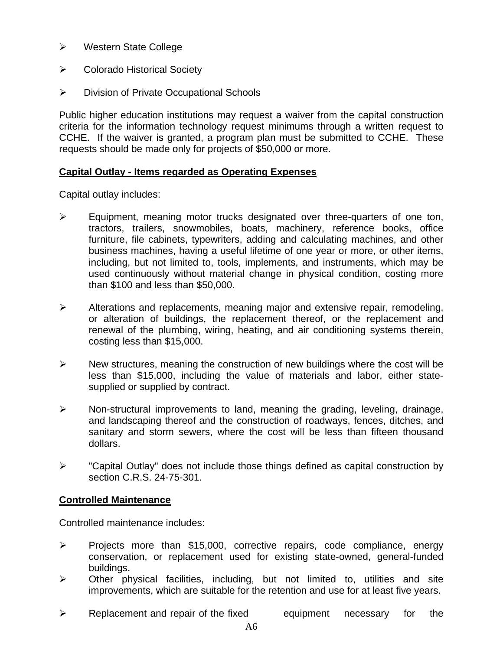- ¾ Western State College
- ¾ Colorado Historical Society
- ¾ Division of Private Occupational Schools

Public higher education institutions may request a waiver from the capital construction criteria for the information technology request minimums through a written request to CCHE. If the waiver is granted, a program plan must be submitted to CCHE. These requests should be made only for projects of \$50,000 or more.

#### **Capital Outlay - Items regarded as Operating Expenses**

Capital outlay includes:

- ¾ Equipment, meaning motor trucks designated over three-quarters of one ton, tractors, trailers, snowmobiles, boats, machinery, reference books, office furniture, file cabinets, typewriters, adding and calculating machines, and other business machines, having a useful lifetime of one year or more, or other items, including, but not limited to, tools, implements, and instruments, which may be used continuously without material change in physical condition, costing more than \$100 and less than \$50,000.
- $\triangleright$  Alterations and replacements, meaning major and extensive repair, remodeling, or alteration of buildings, the replacement thereof, or the replacement and renewal of the plumbing, wiring, heating, and air conditioning systems therein, costing less than \$15,000.
- $\triangleright$  New structures, meaning the construction of new buildings where the cost will be less than \$15,000, including the value of materials and labor, either statesupplied or supplied by contract.
- $\triangleright$  Non-structural improvements to land, meaning the grading, leveling, drainage, and landscaping thereof and the construction of roadways, fences, ditches, and sanitary and storm sewers, where the cost will be less than fifteen thousand dollars.
- ¾ "Capital Outlay" does not include those things defined as capital construction by section C.R.S. 24-75-301.

#### **Controlled Maintenance**

Controlled maintenance includes:

- ¾ Projects more than \$15,000, corrective repairs, code compliance, energy conservation, or replacement used for existing state-owned, general-funded buildings.
- $\triangleright$  Other physical facilities, including, but not limited to, utilities and site improvements, which are suitable for the retention and use for at least five years.
- $\triangleright$  Replacement and repair of the fixed equipment necessary for the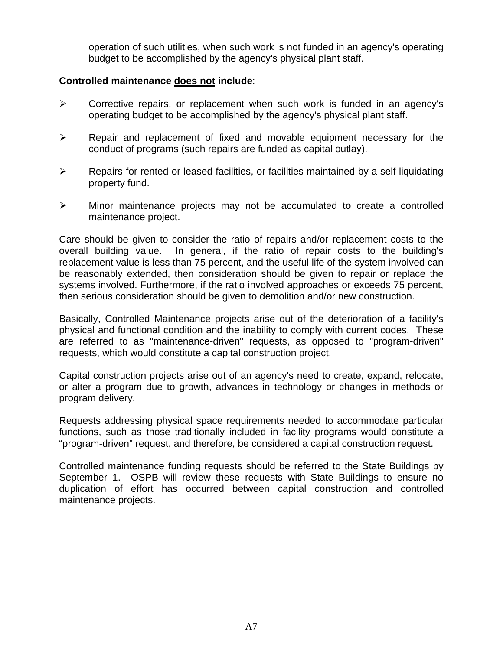operation of such utilities, when such work is not funded in an agency's operating budget to be accomplished by the agency's physical plant staff.

#### **Controlled maintenance does not include**:

- $\triangleright$  Corrective repairs, or replacement when such work is funded in an agency's operating budget to be accomplished by the agency's physical plant staff.
- $\triangleright$  Repair and replacement of fixed and movable equipment necessary for the conduct of programs (such repairs are funded as capital outlay).
- $\triangleright$  Repairs for rented or leased facilities, or facilities maintained by a self-liquidating property fund.
- $\triangleright$  Minor maintenance projects may not be accumulated to create a controlled maintenance project.

Care should be given to consider the ratio of repairs and/or replacement costs to the overall building value. In general, if the ratio of repair costs to the building's replacement value is less than 75 percent, and the useful life of the system involved can be reasonably extended, then consideration should be given to repair or replace the systems involved. Furthermore, if the ratio involved approaches or exceeds 75 percent, then serious consideration should be given to demolition and/or new construction.

Basically, Controlled Maintenance projects arise out of the deterioration of a facility's physical and functional condition and the inability to comply with current codes. These are referred to as "maintenance-driven" requests, as opposed to "program-driven" requests, which would constitute a capital construction project.

Capital construction projects arise out of an agency's need to create, expand, relocate, or alter a program due to growth, advances in technology or changes in methods or program delivery.

Requests addressing physical space requirements needed to accommodate particular functions, such as those traditionally included in facility programs would constitute a "program-driven" request, and therefore, be considered a capital construction request.

Controlled maintenance funding requests should be referred to the State Buildings by September 1. OSPB will review these requests with State Buildings to ensure no duplication of effort has occurred between capital construction and controlled maintenance projects.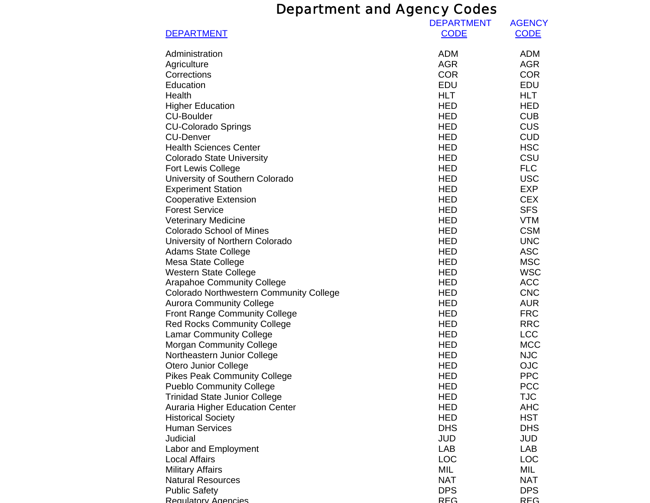## Department and Agency Codes

| <b>DEPARTMENT</b>                                                                 | <b>DEPARTMENT</b><br><b>CODE</b> | <b>AGENCY</b><br><b>CODE</b> |
|-----------------------------------------------------------------------------------|----------------------------------|------------------------------|
| Administration                                                                    | <b>ADM</b>                       | <b>ADM</b>                   |
| Agriculture                                                                       | <b>AGR</b>                       | <b>AGR</b>                   |
| Corrections                                                                       | <b>COR</b>                       | <b>COR</b>                   |
| Education                                                                         | <b>EDU</b>                       | <b>EDU</b>                   |
| Health                                                                            | <b>HLT</b>                       | <b>HLT</b>                   |
| <b>Higher Education</b>                                                           | <b>HED</b>                       | <b>HED</b>                   |
| <b>CU-Boulder</b>                                                                 | <b>HED</b>                       | <b>CUB</b>                   |
| <b>CU-Colorado Springs</b>                                                        | <b>HED</b>                       | <b>CUS</b>                   |
| <b>CU-Denver</b>                                                                  | <b>HED</b>                       | <b>CUD</b>                   |
| <b>Health Sciences Center</b>                                                     | <b>HED</b>                       | <b>HSC</b>                   |
| <b>Colorado State University</b>                                                  | <b>HED</b>                       | CSU                          |
| <b>Fort Lewis College</b>                                                         | <b>HED</b>                       | <b>FLC</b>                   |
| University of Southern Colorado                                                   | <b>HED</b>                       | <b>USC</b>                   |
| <b>Experiment Station</b>                                                         | <b>HED</b>                       | <b>EXP</b>                   |
| <b>Cooperative Extension</b>                                                      | <b>HED</b>                       | <b>CEX</b>                   |
| <b>Forest Service</b>                                                             | <b>HED</b>                       | <b>SFS</b>                   |
| <b>Veterinary Medicine</b>                                                        | <b>HED</b>                       | <b>VTM</b>                   |
| <b>Colorado School of Mines</b>                                                   | <b>HED</b>                       | <b>CSM</b>                   |
| University of Northern Colorado                                                   | <b>HED</b>                       | <b>UNC</b>                   |
| <b>Adams State College</b>                                                        | <b>HED</b>                       | <b>ASC</b>                   |
| Mesa State College                                                                | <b>HED</b>                       | <b>MSC</b>                   |
| <b>Western State College</b>                                                      | <b>HED</b>                       | <b>WSC</b>                   |
| <b>Arapahoe Community College</b>                                                 | <b>HED</b><br><b>HED</b>         | <b>ACC</b><br><b>CNC</b>     |
| <b>Colorado Northwestern Community College</b><br><b>Aurora Community College</b> | <b>HED</b>                       | <b>AUR</b>                   |
| <b>Front Range Community College</b>                                              | <b>HED</b>                       | <b>FRC</b>                   |
| <b>Red Rocks Community College</b>                                                | <b>HED</b>                       | <b>RRC</b>                   |
| <b>Lamar Community College</b>                                                    | <b>HED</b>                       | <b>LCC</b>                   |
| <b>Morgan Community College</b>                                                   | <b>HED</b>                       | <b>MCC</b>                   |
| Northeastern Junior College                                                       | <b>HED</b>                       | <b>NJC</b>                   |
| Otero Junior College                                                              | <b>HED</b>                       | <b>OJC</b>                   |
| <b>Pikes Peak Community College</b>                                               | <b>HED</b>                       | <b>PPC</b>                   |
| <b>Pueblo Community College</b>                                                   | <b>HED</b>                       | <b>PCC</b>                   |
| <b>Trinidad State Junior College</b>                                              | HED                              | <b>TJC</b>                   |
| <b>Auraria Higher Education Center</b>                                            | <b>HED</b>                       | <b>AHC</b>                   |
| <b>Historical Society</b>                                                         | HED                              | <b>HST</b>                   |
| <b>Human Services</b>                                                             | <b>DHS</b>                       | <b>DHS</b>                   |
| Judicial                                                                          | <b>JUD</b>                       | <b>JUD</b>                   |
| Labor and Employment                                                              | <b>LAB</b>                       | LAB                          |
| <b>Local Affairs</b>                                                              | LOC                              | <b>LOC</b>                   |
| <b>Military Affairs</b>                                                           | MIL                              | MIL                          |
| <b>Natural Resources</b>                                                          | <b>NAT</b>                       | <b>NAT</b>                   |
| <b>Public Safety</b>                                                              | <b>DPS</b>                       | <b>DPS</b>                   |
| Requision Agencies                                                                | REG                              | REG                          |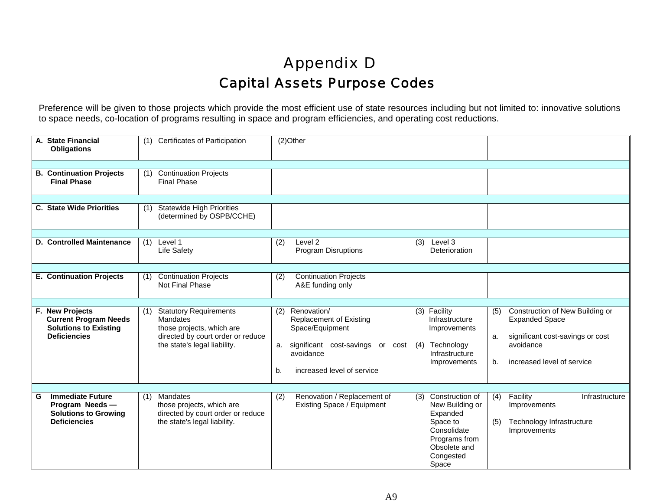## Appendix D Capital Assets Purpose Codes

Preference will be given to those projects which provide the most efficient use of state resources including but not limited to: innovative solutions to space needs, co-location of programs resulting in space and program efficiencies, and operating cost reductions.

| A. State Financial<br><b>Obligations</b>                                                               | <b>Certificates of Participation</b><br>(1)                                                                                                        | (2)Other                                                                                                                                                        |                                                                                                                                                                                                                                                                     |
|--------------------------------------------------------------------------------------------------------|----------------------------------------------------------------------------------------------------------------------------------------------------|-----------------------------------------------------------------------------------------------------------------------------------------------------------------|---------------------------------------------------------------------------------------------------------------------------------------------------------------------------------------------------------------------------------------------------------------------|
| <b>B. Continuation Projects</b><br><b>Final Phase</b>                                                  | <b>Continuation Projects</b><br>(1)<br><b>Final Phase</b>                                                                                          |                                                                                                                                                                 |                                                                                                                                                                                                                                                                     |
| <b>C. State Wide Priorities</b>                                                                        | <b>Statewide High Priorities</b><br>(1)<br>(determined by OSPB/CCHE)                                                                               |                                                                                                                                                                 |                                                                                                                                                                                                                                                                     |
| D. Controlled Maintenance                                                                              | Level 1<br>(1)<br><b>Life Safety</b>                                                                                                               | Level 2<br>(2)<br>Program Disruptions                                                                                                                           | Level 3<br>(3)<br>Deterioration                                                                                                                                                                                                                                     |
| <b>E. Continuation Projects</b>                                                                        | <b>Continuation Projects</b><br>(1)<br>Not Final Phase                                                                                             | <b>Continuation Projects</b><br>(2)<br>A&E funding only                                                                                                         |                                                                                                                                                                                                                                                                     |
| F. New Projects<br><b>Current Program Needs</b><br><b>Solutions to Existing</b><br><b>Deficiencies</b> | <b>Statutory Requirements</b><br>(1)<br>Mandates<br>those projects, which are<br>directed by court order or reduce<br>the state's legal liability. | Renovation/<br>(2)<br><b>Replacement of Existing</b><br>Space/Equipment<br>a. significant cost-savings or cost<br>avoidance<br>increased level of service<br>b. | Construction of New Building or<br>(3) Facility<br>(5)<br><b>Expanded Space</b><br>Infrastructure<br>Improvements<br>significant cost-savings or cost<br>a.<br>Technology<br>avoidance<br>(4)<br>Infrastructure<br>increased level of service<br>Improvements<br>b. |
| <b>Immediate Future</b><br>G<br>Program Needs-<br><b>Solutions to Growing</b><br><b>Deficiencies</b>   | Mandates<br>(1)<br>those projects, which are<br>directed by court order or reduce<br>the state's legal liability.                                  | Renovation / Replacement of<br>(2)<br>Existing Space / Equipment                                                                                                | Construction of<br>(4)<br>Facility<br>Infrastructure<br>(3)<br>New Building or<br>Improvements<br>Expanded<br>Space to<br>Technology Infrastructure<br>(5)<br>Consolidate<br>Improvements<br>Programs from<br>Obsolete and<br>Congested<br>Space                    |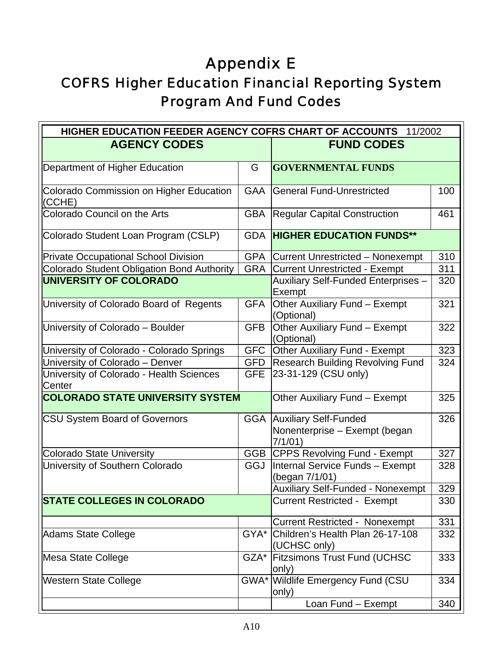# Appendix E

## COFRS Higher Education Financial Reporting System Program And Fund Codes

| HIGHER EDUCATION FEEDER AGENCY COFRS CHART OF ACCOUNTS 11/2002 |            |                                                                                |     |  |
|----------------------------------------------------------------|------------|--------------------------------------------------------------------------------|-----|--|
| <b>AGENCY CODES</b>                                            |            | <b>FUND CODES</b>                                                              |     |  |
| Department of Higher Education                                 | G          | <b>GOVERNMENTAL FUNDS</b>                                                      |     |  |
| Colorado Commission on Higher Education<br>(CCHE)              | <b>GAA</b> | <b>General Fund-Unrestricted</b>                                               | 100 |  |
| Colorado Council on the Arts                                   | <b>GBA</b> | <b>Regular Capital Construction</b>                                            | 461 |  |
| Colorado Student Loan Program (CSLP)                           |            | <b>GDA HIGHER EDUCATION FUNDS**</b>                                            |     |  |
| <b>Private Occupational School Division</b>                    |            | <b>GPA</b> Current Unrestricted - Nonexempt                                    | 310 |  |
| Colorado Student Obligation Bond Authority                     |            | <b>GRA</b> Current Unrestricted - Exempt                                       | 311 |  |
| <b>UNIVERSITY OF COLORADO</b>                                  |            | <b>Auxiliary Self-Funded Enterprises -</b><br>Exempt                           | 320 |  |
| University of Colorado Board of Regents                        | <b>GFA</b> | Other Auxiliary Fund - Exempt<br>(Optional)                                    | 321 |  |
| University of Colorado - Boulder                               | <b>GFB</b> | Other Auxiliary Fund - Exempt<br>(Optional)                                    | 322 |  |
| University of Colorado - Colorado Springs                      |            | GFC Other Auxiliary Fund - Exempt                                              | 323 |  |
| University of Colorado - Denver                                | <b>GFD</b> | <b>Research Building Revolving Fund</b>                                        | 324 |  |
| University of Colorado - Health Sciences<br>Center             | <b>GFE</b> | 23-31-129 (CSU only)                                                           |     |  |
| <b>COLORADO STATE UNIVERSITY SYSTEM</b>                        |            | Other Auxiliary Fund - Exempt                                                  | 325 |  |
| <b>CSU System Board of Governors</b>                           |            | <b>GGA   Auxiliary Self-Funded</b><br>Nonenterprise - Exempt (began<br>7/1/01) | 326 |  |
| <b>Colorado State University</b>                               |            | GGB CPPS Revolving Fund - Exempt                                               | 327 |  |
| University of Southern Colorado                                | GGJ        | Internal Service Funds - Exempt<br>(began 7/1/01)                              | 328 |  |
|                                                                |            | <b>Auxiliary Self-Funded - Nonexempt</b>                                       | 329 |  |
| <b>STATE COLLEGES IN COLORADO</b>                              |            | <b>Current Restricted - Exempt</b>                                             | 330 |  |
|                                                                |            | <b>Current Restricted - Nonexempt</b>                                          | 331 |  |
| <b>Adams State College</b>                                     |            | GYA* Children's Health Plan 26-17-108<br>(UCHSC only)                          | 332 |  |
| Mesa State College                                             |            | GZA* Fitzsimons Trust Fund (UCHSC<br>only)                                     | 333 |  |
| <b>Western State College</b>                                   |            | GWA* Wildlife Emergency Fund (CSU<br>only)                                     | 334 |  |
|                                                                |            | Loan Fund - Exempt                                                             | 340 |  |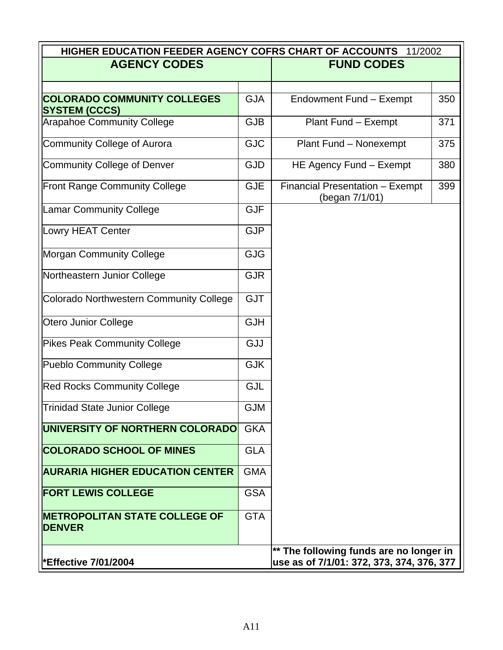| HIGHER EDUCATION FEEDER AGENCY COFRS CHART OF ACCOUNTS<br>11/2002 |            |                                                   |     |  |
|-------------------------------------------------------------------|------------|---------------------------------------------------|-----|--|
| <b>AGENCY CODES</b>                                               |            | <b>FUND CODES</b>                                 |     |  |
|                                                                   |            |                                                   |     |  |
| <b>COLORADO COMMUNITY COLLEGES</b><br><b>SYSTEM (CCCS)</b>        | <b>GJA</b> | Endowment Fund - Exempt                           | 350 |  |
| <b>Arapahoe Community College</b>                                 | <b>GJB</b> | Plant Fund - Exempt                               | 371 |  |
| <b>Community College of Aurora</b>                                | <b>GJC</b> | Plant Fund - Nonexempt                            | 375 |  |
| <b>Community College of Denver</b>                                | <b>GJD</b> | HE Agency Fund - Exempt                           | 380 |  |
| <b>Front Range Community College</b>                              | <b>GJE</b> | Financial Presentation - Exempt<br>(began 7/1/01) | 399 |  |
| <b>Lamar Community College</b>                                    | <b>GJF</b> |                                                   |     |  |
| Lowry HEAT Center                                                 | <b>GJP</b> |                                                   |     |  |
| <b>Morgan Community College</b>                                   | <b>GJG</b> |                                                   |     |  |
| Northeastern Junior College                                       | <b>GJR</b> |                                                   |     |  |
| Colorado Northwestern Community College                           | <b>GJT</b> |                                                   |     |  |
| <b>Otero Junior College</b>                                       | <b>GJH</b> |                                                   |     |  |
| <b>Pikes Peak Community College</b>                               | GJJ        |                                                   |     |  |
| <b>Pueblo Community College</b>                                   | <b>GJK</b> |                                                   |     |  |
| <b>Red Rocks Community College</b>                                | <b>GJL</b> |                                                   |     |  |
| <b>Trinidad State Junior College</b>                              | <b>GJM</b> |                                                   |     |  |
| UNIVERSITY OF NORTHERN COLORADO                                   | <b>GKA</b> |                                                   |     |  |
| <b>COLORADO SCHOOL OF MINES</b>                                   | <b>GLA</b> |                                                   |     |  |
| <b>AURARIA HIGHER EDUCATION CENTER</b>                            | <b>GMA</b> |                                                   |     |  |
| <b>FORT LEWIS COLLEGE</b>                                         | <b>GSA</b> |                                                   |     |  |
| <b>IMETROPOLITAN STATE COLLEGE OF</b><br><b>DENVER</b>            | <b>GTA</b> |                                                   |     |  |
|                                                                   |            | ** The following funds are no longer in           |     |  |
| *Effective 7/01/2004                                              |            | use as of 7/1/01: 372, 373, 374, 376, 377         |     |  |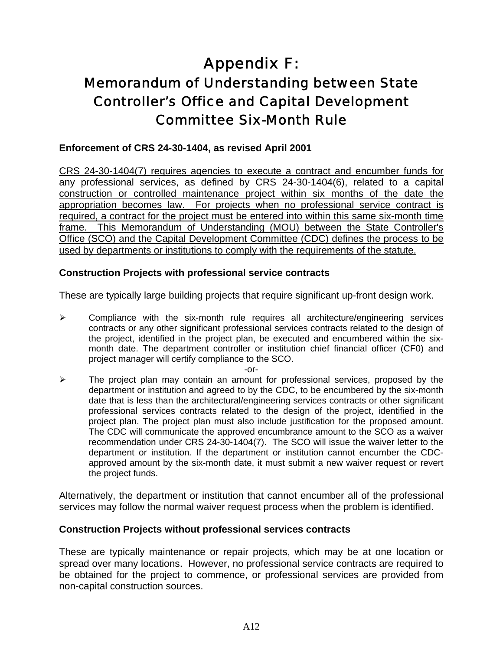## Appendix F: Memorandum of Understanding between State Controller's Office and Capital Development Committee Six-Month Rule

#### **Enforcement of CRS 24-30-1404, as revised April 2001**

CRS 24-30-1404(7) requires agencies to execute a contract and encumber funds for any professional services, as defined by CRS 24-30-1404(6), related to a capital construction or controlled maintenance project within six months of the date the appropriation becomes law. For projects when no professional service contract is required, a contract for the project must be entered into within this same six-month time frame. This Memorandum of Understanding (MOU) between the State Controller's Office (SCO) and the Capital Development Committee (CDC) defines the process to be used by departments or institutions to comply with the requirements of the statute.

#### **Construction Projects with professional service contracts**

These are typically large building projects that require significant up-front design work.

 $\triangleright$  Compliance with the six-month rule requires all architecture/engineering services contracts or any other significant professional services contracts related to the design of the project, identified in the project plan, be executed and encumbered within the sixmonth date. The department controller or institution chief financial officer (CF0) and project manager will certify compliance to the SCO.

-or-

 $\triangleright$  The project plan may contain an amount for professional services, proposed by the department or institution and agreed to by the CDC, to be encumbered by the six-month date that is less than the architectural/engineering services contracts or other significant professional services contracts related to the design of the project, identified in the project plan. The project plan must also include justification for the proposed amount. The CDC will communicate the approved encumbrance amount to the SCO as a waiver recommendation under CRS 24-30-1404(7). The SCO will issue the waiver letter to the department or institution*.* If the department or institution cannot encumber the CDCapproved amount by the six-month date, it must submit a new waiver request or revert the project funds.

Alternatively, the department or institution that cannot encumber all of the professional services may follow the normal waiver request process when the problem is identified.

#### **Construction Projects without professional services contracts**

These are typically maintenance or repair projects, which may be at one location or spread over many locations. However, no professional service contracts are required to be obtained for the project to commence, or professional services are provided from non-capital construction sources.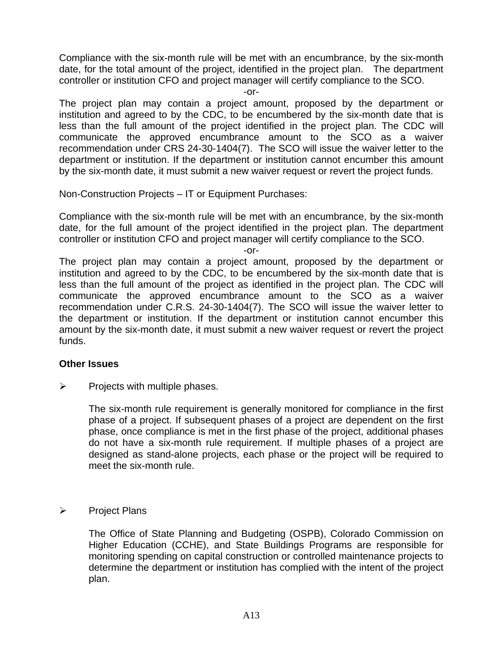Compliance with the six-month rule will be met with an encumbrance, by the six-month date, for the total amount of the project, identified in the project plan. The department controller or institution CFO and project manager will certify compliance to the SCO.

-or-

The project plan may contain a project amount, proposed by the department or institution and agreed to by the CDC, to be encumbered by the six-month date that is less than the full amount of the project identified in the project plan. The CDC will communicate the approved encumbrance amount to the SCO as a waiver recommendation under CRS 24-30-1404(7).The SCO will issue the waiver letter to the department or institution. If the department or institution cannot encumber this amount by the six-month date, it must submit a new waiver request or revert the project funds.

Non-Construction Projects – IT or Equipment Purchases:

Compliance with the six-month rule will be met with an encumbrance, by the six-month date, for the full amount of the project identified in the project plan. The department controller or institution CFO and project manager will certify compliance to the SCO.

-or-

The project plan may contain a project amount, proposed by the department or institution and agreed to by the CDC, to be encumbered by the six-month date that is less than the full amount of the project as identified in the project plan. The CDC will communicate the approved encumbrance amount to the SCO as a waiver recommendation under C.R.S. 24-30-1404(7). The SCO will issue the waiver letter to the department or institution. If the department or institution cannot encumber this amount by the six-month date, it must submit a new waiver request or revert the project funds.

#### **Other Issues**

 $\triangleright$  Projects with multiple phases.

The six-month rule requirement is generally monitored for compliance in the first phase of a project. If subsequent phases of a project are dependent on the first phase, once compliance is met in the first phase of the project, additional phases do not have a six-month rule requirement. If multiple phases of a project are designed as stand-alone projects, each phase or the project will be required to meet the six-month rule.

¾ Project Plans

The Office of State Planning and Budgeting (OSPB), Colorado Commission on Higher Education (CCHE), and State Buildings Programs are responsible for monitoring spending on capital construction or controlled maintenance projects to determine the department or institution has complied with the intent of the project plan.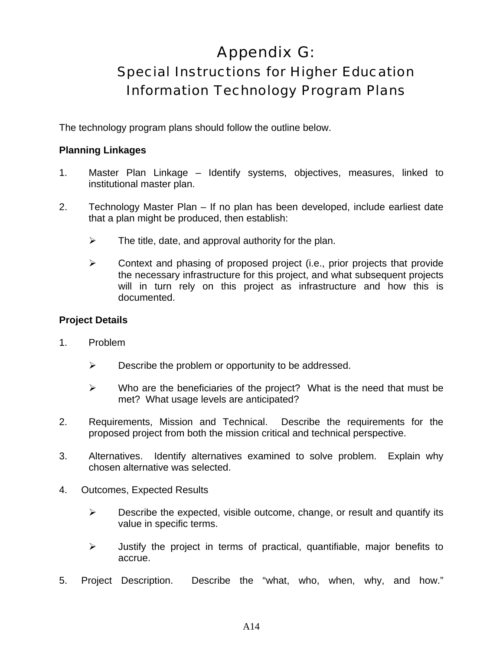## Appendix G: Special Instructions for Higher Education Information Technology Program Plans

The technology program plans should follow the outline below.

#### **Planning Linkages**

- 1. Master Plan Linkage Identify systems, objectives, measures, linked to institutional master plan.
- 2. Technology Master Plan If no plan has been developed, include earliest date that a plan might be produced, then establish:
	- $\triangleright$  The title, date, and approval authority for the plan.
	- $\triangleright$  Context and phasing of proposed project (i.e., prior projects that provide the necessary infrastructure for this project, and what subsequent projects will in turn rely on this project as infrastructure and how this is documented.

#### **Project Details**

- 1. Problem
	- $\triangleright$  Describe the problem or opportunity to be addressed.
	- $\triangleright$  Who are the beneficiaries of the project? What is the need that must be met? What usage levels are anticipated?
- 2. Requirements, Mission and Technical. Describe the requirements for the proposed project from both the mission critical and technical perspective.
- 3. Alternatives. Identify alternatives examined to solve problem. Explain why chosen alternative was selected.
- 4. Outcomes, Expected Results
	- $\triangleright$  Describe the expected, visible outcome, change, or result and quantify its value in specific terms.
	- $\triangleright$  Justify the project in terms of practical, quantifiable, major benefits to accrue.
- 5. Project Description. Describe the "what, who, when, why, and how."